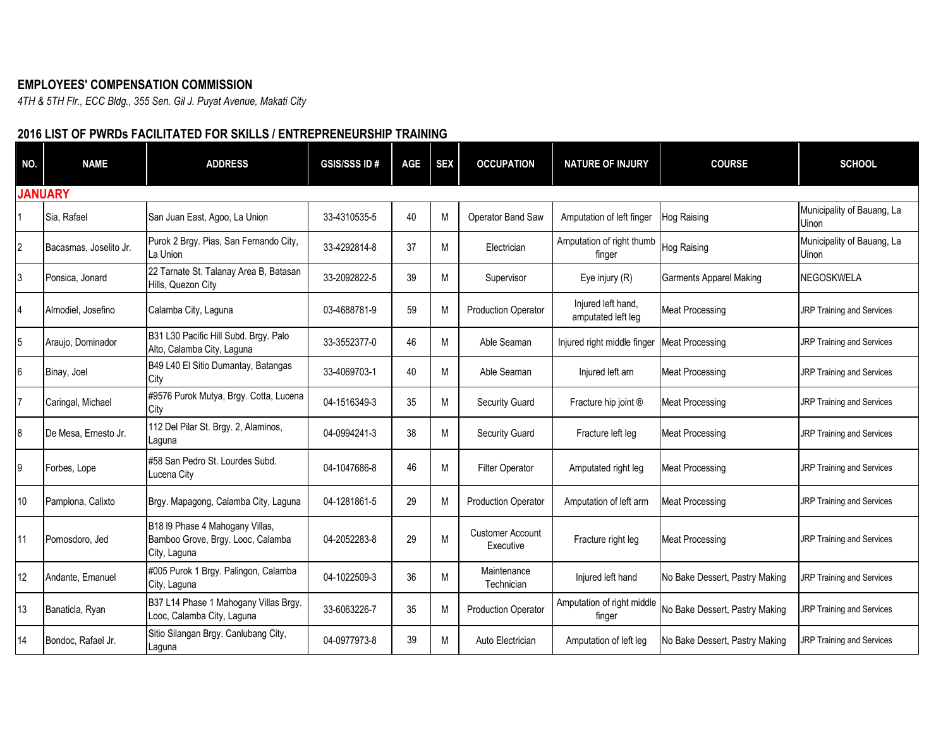## **EMPLOYEES' COMPENSATION COMMISSION**

*4TH & 5TH Flr., ECC Bldg., 355 Sen. Gil J. Puyat Avenue, Makati City*

## **2016 LIST OF PWRDs FACILITATED FOR SKILLS / ENTREPRENEURSHIP TRAINING**

| NO.            | <b>NAME</b>            | <b>ADDRESS</b>                                                                       | <b>GSIS/SSS ID#</b> | <b>AGE</b> | <b>SEX</b> | <b>OCCUPATION</b>                    | <b>NATURE OF INJURY</b>                  | <b>COURSE</b>                  | <b>SCHOOL</b>                              |
|----------------|------------------------|--------------------------------------------------------------------------------------|---------------------|------------|------------|--------------------------------------|------------------------------------------|--------------------------------|--------------------------------------------|
|                | <b>JANUARY</b>         |                                                                                      |                     |            |            |                                      |                                          |                                |                                            |
|                | Sia, Rafael            | San Juan East, Agoo, La Union                                                        | 33-4310535-5        | 40         | M          | Operator Band Saw                    | Amputation of left finger                | Hog Raising                    | Municipality of Bauang, La<br><b>Uinon</b> |
| $\overline{2}$ | Bacasmas, Joselito Jr. | Purok 2 Brgy. Pias, San Fernando City,<br>La Union                                   | 33-4292814-8        | 37         | M          | Electrician                          | Amputation of right thumb<br>finger      | Hog Raising                    | Municipality of Bauang, La<br>Uinon        |
| 3              | Ponsica, Jonard        | 22 Tarnate St. Talanay Area B, Batasan<br>Hills, Quezon City                         | 33-2092822-5        | 39         | M          | Supervisor                           | Eye injury (R)                           | <b>Garments Apparel Making</b> | <b>NEGOSKWELA</b>                          |
| $\overline{4}$ | Almodiel, Josefino     | Calamba City, Laguna                                                                 | 03-4688781-9        | 59         | M          | <b>Production Operator</b>           | Injured left hand,<br>amputated left leg | <b>Meat Processing</b>         | <b>JRP Training and Services</b>           |
| 5              | Araujo, Dominador      | B31 L30 Pacific Hill Subd. Brgy. Palo<br>Alto, Calamba City, Laguna                  | 33-3552377-0        | 46         | M          | Able Seaman                          | Injured right middle finger              | <b>Meat Processing</b>         | JRP Training and Services                  |
| 6              | Binay, Joel            | B49 L40 El Sitio Dumantay, Batangas<br>City                                          | 33-4069703-1        | 40         | M          | Able Seaman                          | Injured left arn                         | <b>Meat Processing</b>         | <b>JRP Training and Services</b>           |
|                | Caringal, Michael      | #9576 Purok Mutya, Brgy. Cotta, Lucena<br>City                                       | 04-1516349-3        | 35         | M          | <b>Security Guard</b>                | Fracture hip joint ®                     | <b>Meat Processing</b>         | JRP Training and Services                  |
| 8              | De Mesa. Ernesto Jr.   | 112 Del Pilar St. Brgy. 2, Alaminos,<br>Laguna                                       | 04-0994241-3        | 38         | M          | <b>Security Guard</b>                | Fracture left leg                        | <b>Meat Processing</b>         | <b>JRP Training and Services</b>           |
| 9              | Forbes, Lope           | #58 San Pedro St. Lourdes Subd.<br>Lucena City                                       | 04-1047686-8        | 46         | M          | <b>Filter Operator</b>               | Amputated right leg                      | <b>Meat Processing</b>         | <b>JRP Training and Services</b>           |
| 10             | Pamplona, Calixto      | Brgy. Mapagong, Calamba City, Laguna                                                 | 04-1281861-5        | 29         | M          | <b>Production Operator</b>           | Amputation of left arm                   | Meat Processing                | <b>JRP Training and Services</b>           |
| 11             | Pornosdoro, Jed        | B18 I9 Phase 4 Mahogany Villas,<br>Bamboo Grove, Brgy. Looc, Calamba<br>City, Laguna | 04-2052283-8        | 29         | M          | <b>Customer Account</b><br>Executive | Fracture right leg                       | <b>Meat Processing</b>         | JRP Training and Services                  |
| 12             | Andante, Emanuel       | #005 Purok 1 Brgy. Palingon, Calamba<br>City, Laguna                                 | 04-1022509-3        | 36         | M          | Maintenance<br>Technician            | Injured left hand                        | No Bake Dessert, Pastry Making | JRP Training and Services                  |
| 13             | Banaticla, Ryan        | B37 L14 Phase 1 Mahogany Villas Brgy.<br>Looc, Calamba City, Laguna                  | 33-6063226-7        | 35         | M          | <b>Production Operator</b>           | Amputation of right middle<br>finger     | No Bake Dessert, Pastry Making | <b>JRP Training and Services</b>           |
| 14             | Bondoc, Rafael Jr.     | Sitio Silangan Brgy. Canlubang City,<br>Laguna                                       | 04-0977973-8        | 39         | M          | Auto Electrician                     | Amputation of left leg                   | No Bake Dessert, Pastry Making | JRP Training and Services                  |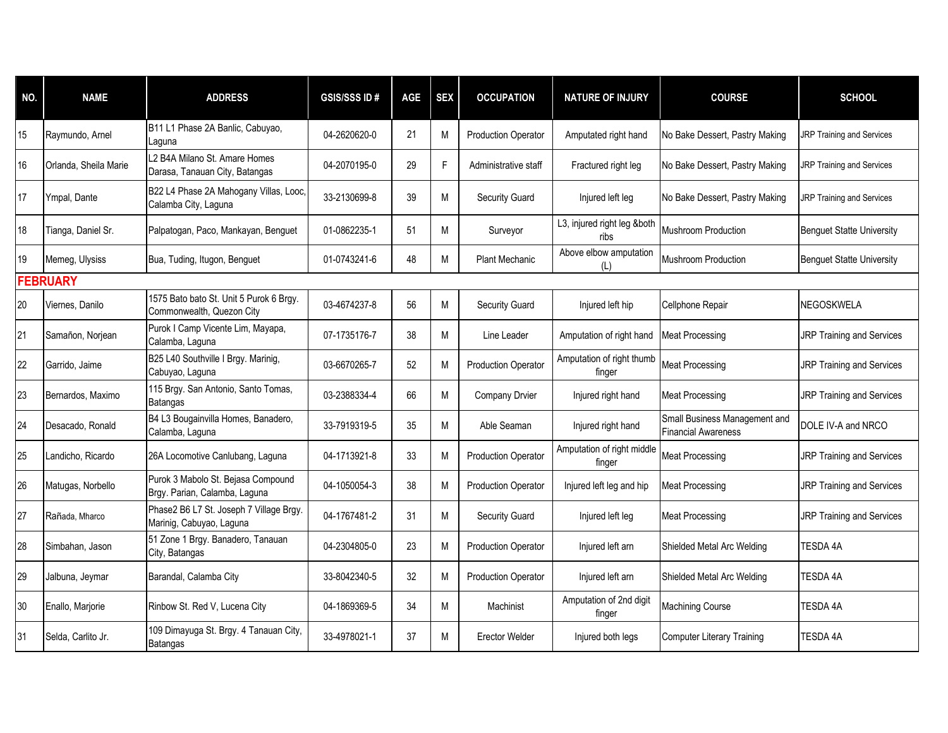| NO. | <b>NAME</b>           | <b>ADDRESS</b>                                                       | <b>GSIS/SSS ID#</b> | AGE | <b>SEX</b> | <b>OCCUPATION</b>          | <b>NATURE OF INJURY</b>              | <b>COURSE</b>                                               | <b>SCHOOL</b>                    |
|-----|-----------------------|----------------------------------------------------------------------|---------------------|-----|------------|----------------------------|--------------------------------------|-------------------------------------------------------------|----------------------------------|
| 15  | Raymundo, Arnel       | B11 L1 Phase 2A Banlic, Cabuyao,<br>Laguna                           | 04-2620620-0        | 21  | M          | <b>Production Operator</b> | Amputated right hand                 | No Bake Dessert, Pastry Making                              | <b>JRP Training and Services</b> |
| 16  | Orlanda, Sheila Marie | L2 B4A Milano St. Amare Homes<br>Darasa, Tanauan City, Batangas      | 04-2070195-0        | 29  | F          | Administrative staff       | Fractured right leg                  | No Bake Dessert, Pastry Making                              | JRP Training and Services        |
| 17  | Ympal, Dante          | B22 L4 Phase 2A Mahogany Villas, Looc,<br>Calamba City, Laguna       | 33-2130699-8        | 39  | M          | Security Guard             | Injured left leg                     | No Bake Dessert, Pastry Making                              | JRP Training and Services        |
| 18  | Tianga, Daniel Sr.    | Palpatogan, Paco, Mankayan, Benguet                                  | 01-0862235-1        | 51  | M          | Surveyor                   | L3, injured right leg &both<br>ribs  | Mushroom Production                                         | <b>Benguet Statte University</b> |
| 19  | Memeg, Ulysiss        | Bua, Tuding, Itugon, Benguet                                         | 01-0743241-6        | 48  | M          | <b>Plant Mechanic</b>      | Above elbow amputation<br>(L)        | Mushroom Production                                         | <b>Benguet Statte University</b> |
|     | <b>FEBRUARY</b>       |                                                                      |                     |     |            |                            |                                      |                                                             |                                  |
| 20  | Viernes, Danilo       | 1575 Bato bato St. Unit 5 Purok 6 Brgy.<br>Commonwealth, Quezon City | 03-4674237-8        | 56  | M          | Security Guard             | Injured left hip                     | Cellphone Repair                                            | <b>NEGOSKWELA</b>                |
| 21  | Samañon, Norjean      | Purok I Camp Vicente Lim, Mayapa,<br>Calamba, Laguna                 | 07-1735176-7        | 38  | M          | Line Leader                | Amputation of right hand             | <b>Meat Processing</b>                                      | <b>JRP Training and Services</b> |
| 22  | Garrido, Jaime        | B25 L40 Southville I Brgy. Marinig,<br>Cabuyao, Laguna               | 03-6670265-7        | 52  | M          | <b>Production Operator</b> | Amputation of right thumb<br>finger  | <b>Meat Processing</b>                                      | <b>JRP Training and Services</b> |
| 23  | Bernardos, Maximo     | 115 Brgy. San Antonio, Santo Tomas,<br>Batangas                      | 03-2388334-4        | 66  | M          | Company Drvier             | Injured right hand                   | <b>Meat Processing</b>                                      | <b>JRP Training and Services</b> |
| 24  | Desacado, Ronald      | B4 L3 Bougainvilla Homes, Banadero,<br>Calamba, Laguna               | 33-7919319-5        | 35  | M          | Able Seaman                | Injured right hand                   | Small Business Management and<br><b>Financial Awareness</b> | DOLE IV-A and NRCO               |
| 25  | Landicho, Ricardo     | 26A Locomotive Canlubang, Laguna                                     | 04-1713921-8        | 33  | M          | <b>Production Operator</b> | Amputation of right middle<br>finger | Meat Processing                                             | <b>JRP Training and Services</b> |
| 26  | Matugas, Norbello     | Purok 3 Mabolo St. Bejasa Compound<br>Brgy. Parian, Calamba, Laguna  | 04-1050054-3        | 38  | M          | <b>Production Operator</b> | Injured left leg and hip             | <b>Meat Processing</b>                                      | JRP Training and Services        |
| 27  | Rañada, Mharco        | Phase2 B6 L7 St. Joseph 7 Village Brgy.<br>Marinig, Cabuyao, Laguna  | 04-1767481-2        | 31  | M          | Security Guard             | Injured left leg                     | <b>Meat Processing</b>                                      | <b>JRP Training and Services</b> |
| 28  | Simbahan, Jason       | 51 Zone 1 Brgy. Banadero, Tanauan<br>City, Batangas                  | 04-2304805-0        | 23  | M          | <b>Production Operator</b> | Injured left arn                     | Shielded Metal Arc Welding                                  | TESDA 4A                         |
| 29  | Jalbuna, Jeymar       | Barandal, Calamba City                                               | 33-8042340-5        | 32  | M          | <b>Production Operator</b> | Injured left arn                     | Shielded Metal Arc Welding                                  | TESDA 4A                         |
| 30  | Enallo, Marjorie      | Rinbow St. Red V, Lucena City                                        | 04-1869369-5        | 34  | M          | Machinist                  | Amputation of 2nd digit<br>finger    | Machining Course                                            | TESDA 4A                         |
| 31  | Selda, Carlito Jr.    | 109 Dimayuga St. Brgy. 4 Tanauan City,<br>Batangas                   | 33-4978021-1        | 37  | M          | <b>Erector Welder</b>      | Injured both legs                    | Computer Literary Training                                  | TESDA 4A                         |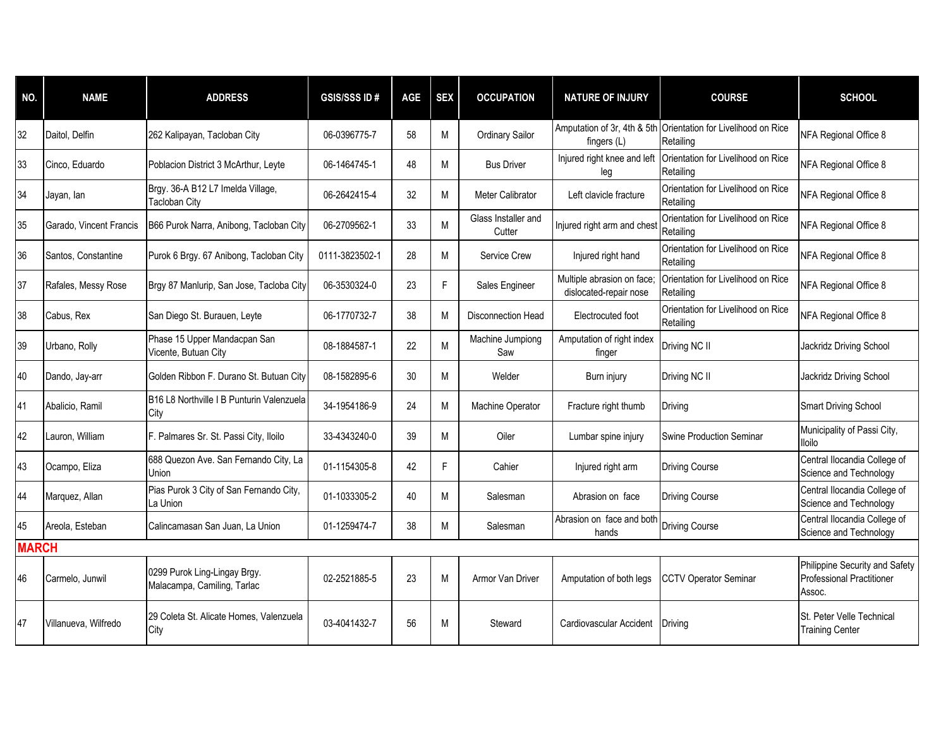| NO.          | <b>NAME</b>             | <b>ADDRESS</b>                                              | <b>GSIS/SSS ID#</b> | AGE | <b>SEX</b> | <b>OCCUPATION</b>             | <b>NATURE OF INJURY</b>                              | <b>COURSE</b>                                   | <b>SCHOOL</b>                                                                |
|--------------|-------------------------|-------------------------------------------------------------|---------------------|-----|------------|-------------------------------|------------------------------------------------------|-------------------------------------------------|------------------------------------------------------------------------------|
| 32           | Daitol, Delfin          | 262 Kalipayan, Tacloban City                                | 06-0396775-7        | 58  | M          | Ordinary Sailor               | Amputation of 3r, 4th & 5th<br>fingers (L)           | Orientation for Livelihood on Rice<br>Retailing | NFA Regional Office 8                                                        |
| 33           | Cinco, Eduardo          | Poblacion District 3 McArthur, Leyte                        | 06-1464745-1        | 48  | M          | <b>Bus Driver</b>             | Injured right knee and left<br>leg                   | Orientation for Livelihood on Rice<br>Retailing | NFA Regional Office 8                                                        |
| 34           | Jayan, lan              | Brgy. 36-A B12 L7 Imelda Village,<br><b>Tacloban City</b>   | 06-2642415-4        | 32  | M          | Meter Calibrator              | Left clavicle fracture                               | Orientation for Livelihood on Rice<br>Retailing | NFA Regional Office 8                                                        |
| 35           | Garado, Vincent Francis | B66 Purok Narra, Anibong, Tacloban City                     | 06-2709562-1        | 33  | M          | Glass Installer and<br>Cutter | Injured right arm and chest                          | Orientation for Livelihood on Rice<br>Retailing | NFA Regional Office 8                                                        |
| 36           | Santos, Constantine     | Purok 6 Brgy. 67 Anibong, Tacloban City                     | 0111-3823502-1      | 28  | M          | Service Crew                  | Injured right hand                                   | Orientation for Livelihood on Rice<br>Retailing | NFA Regional Office 8                                                        |
| 37           | Rafales, Messy Rose     | Brgy 87 Manlurip, San Jose, Tacloba City                    | 06-3530324-0        | 23  | F          | Sales Engineer                | Multiple abrasion on face;<br>dislocated-repair nose | Orientation for Livelihood on Rice<br>Retailing | NFA Regional Office 8                                                        |
| 38           | Cabus, Rex              | San Diego St. Burauen, Leyte                                | 06-1770732-7        | 38  | M          | Disconnection Head            | Electrocuted foot                                    | Orientation for Livelihood on Rice<br>Retailing | NFA Regional Office 8                                                        |
| 39           | Urbano, Rolly           | Phase 15 Upper Mandacpan San<br>Vicente, Butuan City        | 08-1884587-1        | 22  | M          | Machine Jumpiong<br>Saw       | Amputation of right index<br>finger                  | Driving NC II                                   | Jackridz Driving School                                                      |
| 40           | Dando, Jay-arr          | Golden Ribbon F. Durano St. Butuan City                     | 08-1582895-6        | 30  | M          | Welder                        | Burn injury                                          | Driving NC II                                   | Jackridz Driving School                                                      |
| 41           | Abalicio, Ramil         | B16 L8 Northville I B Punturin Valenzuela<br>City           | 34-1954186-9        | 24  | M          | Machine Operator              | Fracture right thumb                                 | Driving                                         | <b>Smart Driving School</b>                                                  |
| 42           | Lauron, William         | F. Palmares Sr. St. Passi City, Iloilo                      | 33-4343240-0        | 39  | M          | Oiler                         | Lumbar spine injury                                  | Swine Production Seminar                        | Municipality of Passi City,<br><b>Iloilo</b>                                 |
| 43           | Ocampo, Eliza           | 688 Quezon Ave. San Fernando City, La<br>Union              | 01-1154305-8        | 42  | F          | Cahier                        | Injured right arm                                    | <b>Driving Course</b>                           | Central Ilocandia College of<br>Science and Technology                       |
| 44           | Marquez, Allan          | Pias Purok 3 City of San Fernando City,<br>La Union         | 01-1033305-2        | 40  | м          | Salesman                      | Abrasion on face                                     | <b>Driving Course</b>                           | Central Ilocandia College of<br>Science and Technology                       |
| 45           | Areola, Esteban         | Calincamasan San Juan, La Union                             | 01-1259474-7        | 38  | M          | Salesman                      | Abrasion on face and both<br>hands                   | <b>Driving Course</b>                           | Central Ilocandia College of<br>Science and Technology                       |
| <b>MARCH</b> |                         |                                                             |                     |     |            |                               |                                                      |                                                 |                                                                              |
| 46           | Carmelo, Junwil         | 0299 Purok Ling-Lingay Brgy.<br>Malacampa, Camiling, Tarlac | 02-2521885-5        | 23  | M          | Armor Van Driver              | Amputation of both legs                              | <b>CCTV Operator Seminar</b>                    | Philippine Security and Safety<br><b>Professional Practitioner</b><br>Assoc. |
| 47           | Villanueva, Wilfredo    | 29 Coleta St. Alicate Homes. Valenzuela<br>City             | 03-4041432-7        | 56  | M          | Steward                       | Cardiovascular Accident                              | Driving                                         | St. Peter Velle Technical<br><b>Training Center</b>                          |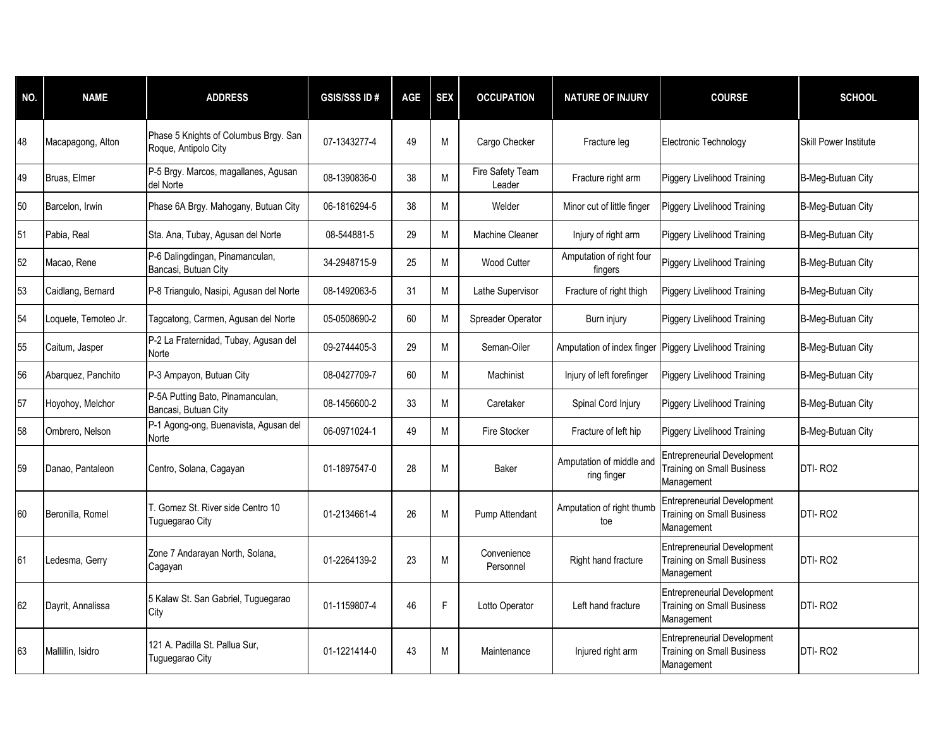| NO. | <b>NAME</b>          | <b>ADDRESS</b>                                                | <b>GSIS/SSS ID#</b> | <b>AGE</b> | <b>SEX</b> | <b>OCCUPATION</b>          | <b>NATURE OF INJURY</b>                 | <b>COURSE</b>                                                                         | <b>SCHOOL</b>                |
|-----|----------------------|---------------------------------------------------------------|---------------------|------------|------------|----------------------------|-----------------------------------------|---------------------------------------------------------------------------------------|------------------------------|
| 48  | Macapagong, Alton    | Phase 5 Knights of Columbus Brgy. San<br>Roque, Antipolo City | 07-1343277-4        | 49         | M          | Cargo Checker              | Fracture leg                            | Electronic Technology                                                                 | <b>Skill Power Institute</b> |
| 49  | Bruas, Elmer         | P-5 Brgy. Marcos, magallanes, Agusan<br>del Norte             | 08-1390836-0        | 38         | M          | Fire Safety Team<br>Leader | Fracture right arm                      | <b>Piggery Livelihood Training</b>                                                    | B-Meg-Butuan City            |
| 50  | Barcelon, Irwin      | Phase 6A Brgy. Mahogany, Butuan City                          | 06-1816294-5        | 38         | M          | Welder                     | Minor cut of little finger              | <b>Piggery Livelihood Training</b>                                                    | B-Meg-Butuan City            |
| 51  | Pabia, Real          | Sta. Ana, Tubay, Agusan del Norte                             | 08-544881-5         | 29         | M          | <b>Machine Cleaner</b>     | Injury of right arm                     | <b>Piggery Livelihood Training</b>                                                    | B-Meg-Butuan City            |
| 52  | Macao, Rene          | P-6 Dalingdingan, Pinamanculan,<br>Bancasi, Butuan City       | 34-2948715-9        | 25         | M          | Wood Cutter                | Amputation of right four<br>fingers     | Piggery Livelihood Training                                                           | B-Meg-Butuan City            |
| 53  | Caidlang, Bernard    | P-8 Triangulo, Nasipi, Agusan del Norte                       | 08-1492063-5        | 31         | M          | Lathe Supervisor           | Fracture of right thigh                 | <b>Piggery Livelihood Training</b>                                                    | B-Meg-Butuan City            |
| 54  | Loquete, Temoteo Jr. | Tagcatong, Carmen, Agusan del Norte                           | 05-0508690-2        | 60         | M          | Spreader Operator          | Burn injury                             | Piggery Livelihood Training                                                           | B-Meg-Butuan City            |
| 55  | Caitum, Jasper       | P-2 La Fraternidad, Tubay, Agusan del<br>Norte                | 09-2744405-3        | 29         | M          | Seman-Oiler                | Amputation of index finger              | Piggery Livelihood Training                                                           | B-Meg-Butuan City            |
| 56  | Abarquez, Panchito   | P-3 Ampayon, Butuan City                                      | 08-0427709-7        | 60         | M          | Machinist                  | Injury of left forefinger               | <b>Piggery Livelihood Training</b>                                                    | B-Meg-Butuan City            |
| 57  | Hoyohoy, Melchor     | P-5A Putting Bato, Pinamanculan,<br>Bancasi, Butuan City      | 08-1456600-2        | 33         | M          | Caretaker                  | Spinal Cord Injury                      | <b>Piggery Livelihood Training</b>                                                    | B-Meg-Butuan City            |
| 58  | Ombrero, Nelson      | P-1 Agong-ong, Buenavista, Agusan del<br>Norte                | 06-0971024-1        | 49         | M          | Fire Stocker               | Fracture of left hip                    | <b>Piggery Livelihood Training</b>                                                    | B-Meg-Butuan City            |
| 59  | Danao, Pantaleon     | Centro, Solana, Cagayan                                       | 01-1897547-0        | 28         | M          | Baker                      | Amputation of middle and<br>ring finger | <b>Entrepreneurial Development</b><br>Training on Small Business<br>Management        | DTI-RO <sub>2</sub>          |
| 60  | Beronilla, Romel     | T. Gomez St. River side Centro 10<br>Tuguegarao City          | 01-2134661-4        | 26         | M          | Pump Attendant             | Amputation of right thumb<br>toe        | <b>Entrepreneurial Development</b><br><b>Training on Small Business</b><br>Management | DTI-RO <sub>2</sub>          |
| 61  | Ledesma, Gerry       | Zone 7 Andarayan North, Solana,<br>Cagayan                    | 01-2264139-2        | 23         | M          | Convenience<br>Personnel   | Right hand fracture                     | <b>Entrepreneurial Development</b><br><b>Training on Small Business</b><br>Management | DTI-RO <sub>2</sub>          |
| 62  | Dayrit, Annalissa    | 5 Kalaw St. San Gabriel, Tuguegarao<br>City                   | 01-1159807-4        | 46         | F          | Lotto Operator             | Left hand fracture                      | <b>Entrepreneurial Development</b><br><b>Training on Small Business</b><br>Management | DTI-RO2                      |
| 63  | Mallillin, Isidro    | 121 A. Padilla St. Pallua Sur,<br>Tuguegarao City             | 01-1221414-0        | 43         | M          | Maintenance                | Injured right arm                       | <b>Entrepreneurial Development</b><br><b>Training on Small Business</b><br>Management | DTI-RO <sub>2</sub>          |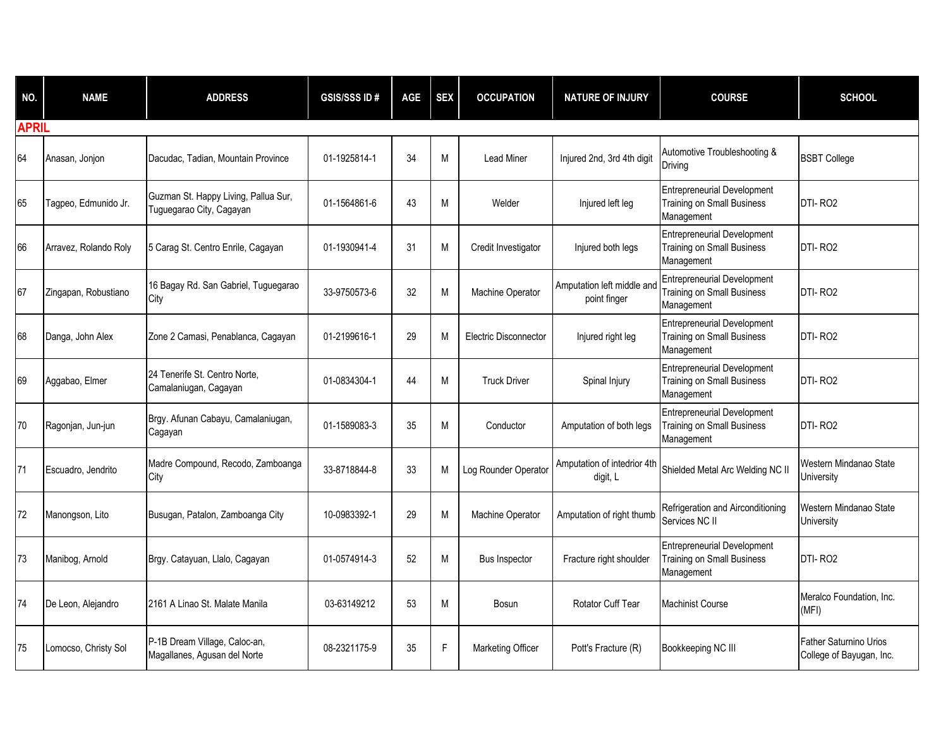| NO.          | <b>NAME</b>           | <b>ADDRESS</b>                                                   | <b>GSIS/SSS ID#</b> | <b>AGE</b> | <b>SEX</b> | <b>OCCUPATION</b>            | <b>NATURE OF INJURY</b>                    | <b>COURSE</b>                                                                         | <b>SCHOOL</b>                                             |
|--------------|-----------------------|------------------------------------------------------------------|---------------------|------------|------------|------------------------------|--------------------------------------------|---------------------------------------------------------------------------------------|-----------------------------------------------------------|
| <b>APRIL</b> |                       |                                                                  |                     |            |            |                              |                                            |                                                                                       |                                                           |
| 64           | Anasan, Jonjon        | Dacudac, Tadian, Mountain Province                               | 01-1925814-1        | 34         | M          | <b>Lead Miner</b>            | Injured 2nd, 3rd 4th digit                 | Automotive Troubleshooting &<br>Driving                                               | <b>BSBT College</b>                                       |
| 65           | Tagpeo, Edmunido Jr.  | Guzman St. Happy Living, Pallua Sur,<br>Tuguegarao City, Cagayan | 01-1564861-6        | 43         | M          | Welder                       | Injured left leg                           | <b>Entrepreneurial Development</b><br><b>Training on Small Business</b><br>Management | DTI-RO <sub>2</sub>                                       |
| 66           | Arravez, Rolando Roly | 5 Carag St. Centro Enrile, Cagayan                               | 01-1930941-4        | 31         | M          | Credit Investigator          | Injured both legs                          | <b>Entrepreneurial Development</b><br><b>Training on Small Business</b><br>Management | DTI-RO <sub>2</sub>                                       |
| 67           | Zingapan, Robustiano  | 16 Bagay Rd. San Gabriel, Tuguegarao<br>City                     | 33-9750573-6        | 32         | M          | Machine Operator             | Amputation left middle and<br>point finger | <b>Entrepreneurial Development</b><br><b>Training on Small Business</b><br>Management | DTI-RO <sub>2</sub>                                       |
| 68           | Danga, John Alex      | Zone 2 Camasi, Penablanca, Cagayan                               | 01-2199616-1        | 29         | M          | <b>Electric Disconnector</b> | Injured right leg                          | <b>Entrepreneurial Development</b><br><b>Training on Small Business</b><br>Management | DTI-RO <sub>2</sub>                                       |
| 69           | Aggabao, Elmer        | 24 Tenerife St. Centro Norte.<br>Camalaniugan, Cagayan           | 01-0834304-1        | 44         | M          | <b>Truck Driver</b>          | Spinal Injury                              | <b>Entrepreneurial Development</b><br><b>Training on Small Business</b><br>Management | DTI-RO <sub>2</sub>                                       |
| 70           | Ragonjan, Jun-jun     | Brgy. Afunan Cabayu, Camalaniugan,<br>Cagayan                    | 01-1589083-3        | 35         | M          | Conductor                    | Amputation of both legs                    | <b>Entrepreneurial Development</b><br>Training on Small Business<br>Management        | DTI-RO <sub>2</sub>                                       |
| 71           | Escuadro, Jendrito    | Madre Compound, Recodo, Zamboanga<br>City                        | 33-8718844-8        | 33         | M          | Log Rounder Operator         | Amputation of intedrior 4th<br>digit, L    | Shielded Metal Arc Welding NC II                                                      | Western Mindanao State<br>University                      |
| 72           | Manongson, Lito       | Busugan, Patalon, Zamboanga City                                 | 10-0983392-1        | 29         | М          | Machine Operator             | Amputation of right thumb                  | Refrigeration and Airconditioning<br>Services NC II                                   | Western Mindanao State<br>University                      |
| 73           | Manibog, Arnold       | Brgy. Catayuan, Llalo, Cagayan                                   | 01-0574914-3        | 52         | M          | <b>Bus Inspector</b>         | Fracture right shoulder                    | <b>Entrepreneurial Development</b><br><b>Training on Small Business</b><br>Management | DTI-RO <sub>2</sub>                                       |
| 74           | De Leon, Alejandro    | 2161 A Linao St. Malate Manila                                   | 03-63149212         | 53         | M          | Bosun                        | <b>Rotator Cuff Tear</b>                   | <b>Machinist Course</b>                                                               | Meralco Foundation, Inc.<br>(MFI)                         |
| 75           | Lomocso, Christy Sol  | P-1B Dream Village, Caloc-an,<br>Magallanes, Agusan del Norte    | 08-2321175-9        | 35         | F          | Marketing Officer            | Pott's Fracture (R)                        | Bookkeeping NC III                                                                    | <b>Father Saturnino Urios</b><br>College of Bayugan, Inc. |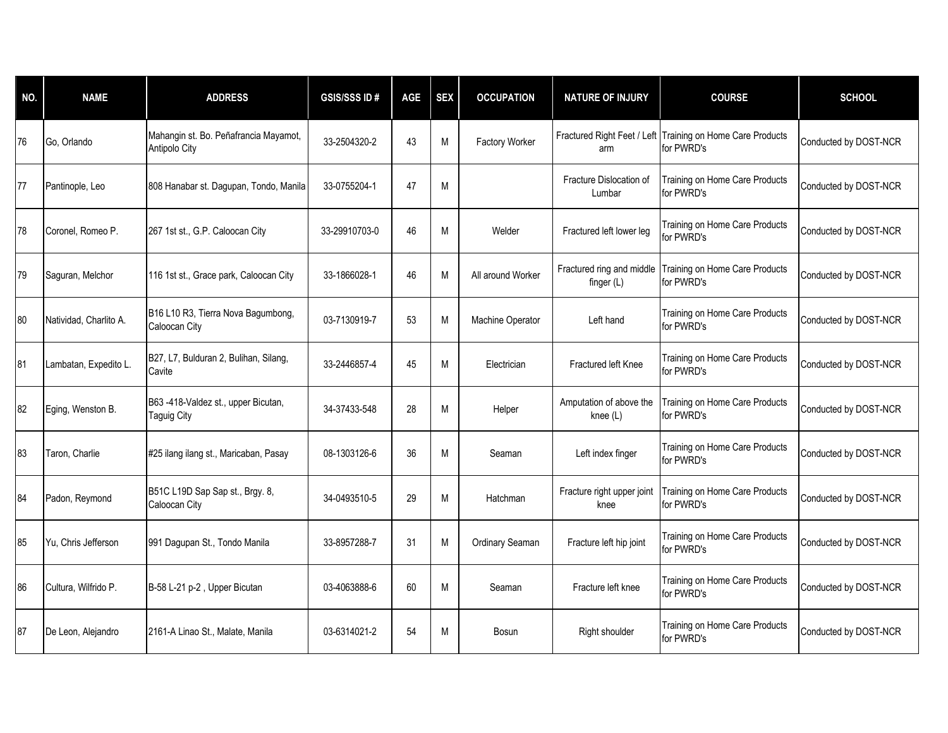| NO. | <b>NAME</b>            | <b>ADDRESS</b>                                           | <b>GSIS/SSSID#</b> | AGE | <b>SEX</b> | <b>OCCUPATION</b> | <b>NATURE OF INJURY</b>             | <b>COURSE</b>                                                            | <b>SCHOOL</b>         |
|-----|------------------------|----------------------------------------------------------|--------------------|-----|------------|-------------------|-------------------------------------|--------------------------------------------------------------------------|-----------------------|
| 76  | Go, Orlando            | Mahangin st. Bo. Peñafrancia Mayamot,<br>Antipolo City   | 33-2504320-2       | 43  | M          | Factory Worker    | arm                                 | Fractured Right Feet / Left Training on Home Care Products<br>for PWRD's | Conducted by DOST-NCR |
| 77  | Pantinople, Leo        | 808 Hanabar st. Dagupan, Tondo, Manila                   | 33-0755204-1       | 47  | M          |                   | Fracture Dislocation of<br>Lumbar   | Training on Home Care Products<br>for PWRD's                             | Conducted by DOST-NCR |
| 78  | Coronel, Romeo P.      | 267 1st st., G.P. Caloocan City                          | 33-29910703-0      | 46  | M          | Welder            | Fractured left lower leg            | Training on Home Care Products<br>for PWRD's                             | Conducted by DOST-NCR |
| 79  | Saguran, Melchor       | 116 1st st., Grace park, Caloocan City                   | 33-1866028-1       | 46  | M          | All around Worker | finger $(L)$                        | Fractured ring and middle Training on Home Care Products<br>for PWRD's   | Conducted by DOST-NCR |
| 80  | Natividad, Charlito A. | B16 L10 R3, Tierra Nova Bagumbong,<br>Caloocan City      | 03-7130919-7       | 53  | M          | Machine Operator  | Left hand                           | Training on Home Care Products<br>for PWRD's                             | Conducted by DOST-NCR |
| 81  | Lambatan, Expedito L.  | B27, L7, Bulduran 2, Bulihan, Silang,<br>Cavite          | 33-2446857-4       | 45  | M          | Electrician       | <b>Fractured left Knee</b>          | Training on Home Care Products<br>for PWRD's                             | Conducted by DOST-NCR |
| 82  | Eging, Wenston B.      | B63-418-Valdez st., upper Bicutan,<br><b>Taguig City</b> | 34-37433-548       | 28  | M          | Helper            | Amputation of above the<br>knee (L) | Training on Home Care Products<br>for PWRD's                             | Conducted by DOST-NCR |
| 83  | Taron, Charlie         | #25 ilang ilang st., Maricaban, Pasay                    | 08-1303126-6       | 36  | M          | Seaman            | Left index finger                   | Training on Home Care Products<br>for PWRD's                             | Conducted by DOST-NCR |
| 84  | Padon, Reymond         | B51C L19D Sap Sap st., Brgy. 8,<br>Caloocan City         | 34-0493510-5       | 29  | M          | Hatchman          | Fracture right upper joint<br>knee  | Training on Home Care Products<br>for PWRD's                             | Conducted by DOST-NCR |
| 85  | Yu, Chris Jefferson    | 991 Dagupan St., Tondo Manila                            | 33-8957288-7       | 31  | M          | Ordinary Seaman   | Fracture left hip joint             | Training on Home Care Products<br>for PWRD's                             | Conducted by DOST-NCR |
| 86  | Cultura, Wilfrido P.   | B-58 L-21 p-2, Upper Bicutan                             | 03-4063888-6       | 60  | M          | Seaman            | Fracture left knee                  | Training on Home Care Products<br>for PWRD's                             | Conducted by DOST-NCR |
| 87  | De Leon, Alejandro     | 2161-A Linao St., Malate, Manila                         | 03-6314021-2       | 54  | M          | <b>Bosun</b>      | Right shoulder                      | Training on Home Care Products<br>for PWRD's                             | Conducted by DOST-NCR |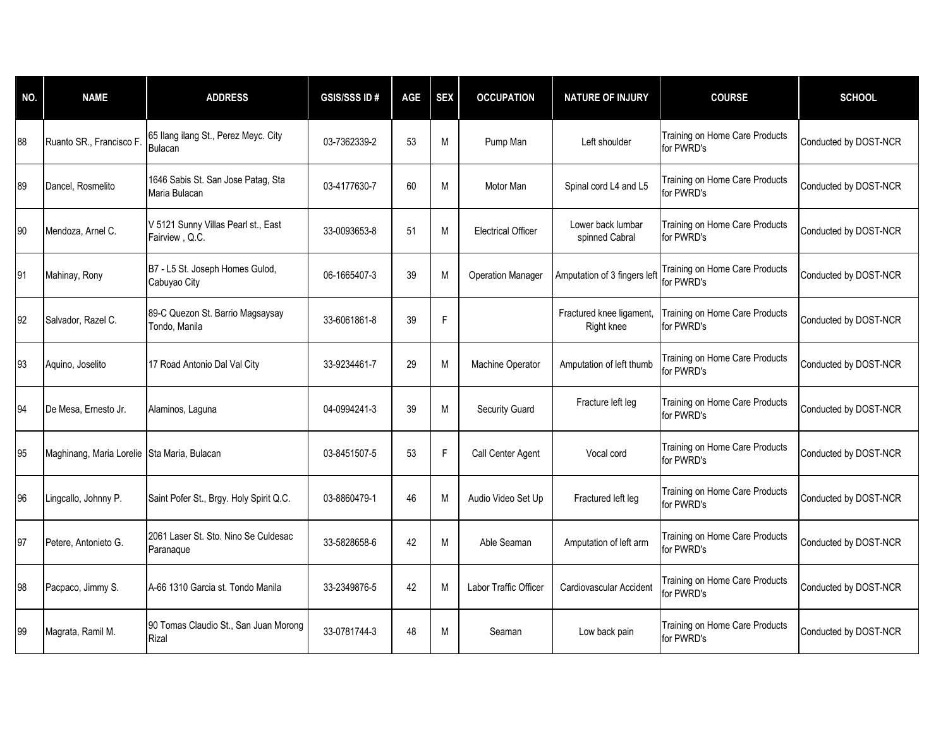| NO. | <b>NAME</b>                                 | <b>ADDRESS</b>                                         | <b>GSIS/SSSID#</b> | <b>AGE</b> | <b>SEX</b> | <b>OCCUPATION</b>         | <b>NATURE OF INJURY</b>                | <b>COURSE</b>                                | <b>SCHOOL</b>         |
|-----|---------------------------------------------|--------------------------------------------------------|--------------------|------------|------------|---------------------------|----------------------------------------|----------------------------------------------|-----------------------|
| 88  | Ruanto SR., Francisco F                     | 65 Ilang ilang St., Perez Meyc. City<br><b>Bulacan</b> | 03-7362339-2       | 53         | M          | Pump Man                  | Left shoulder                          | Training on Home Care Products<br>for PWRD's | Conducted by DOST-NCR |
| 89  | Dancel, Rosmelito                           | 1646 Sabis St. San Jose Patag, Sta<br>Maria Bulacan    | 03-4177630-7       | 60         | М          | Motor Man                 | Spinal cord L4 and L5                  | Training on Home Care Products<br>for PWRD's | Conducted by DOST-NCR |
| 90  | Mendoza, Arnel C.                           | V 5121 Sunny Villas Pearl st., East<br>Fairview, Q.C.  | 33-0093653-8       | 51         | M          | <b>Electrical Officer</b> | Lower back lumbar<br>spinned Cabral    | Training on Home Care Products<br>for PWRD's | Conducted by DOST-NCR |
| 91  | Mahinay, Rony                               | B7 - L5 St. Joseph Homes Gulod,<br>Cabuyao City        | 06-1665407-3       | 39         | M          | <b>Operation Manager</b>  | Amputation of 3 fingers left           | Training on Home Care Products<br>for PWRD's | Conducted by DOST-NCR |
| 92  | Salvador, Razel C.                          | 89-C Quezon St. Barrio Magsaysay<br>Tondo, Manila      | 33-6061861-8       | 39         | F          |                           | Fractured knee ligament,<br>Right knee | Training on Home Care Products<br>for PWRD's | Conducted by DOST-NCR |
| 93  | Aquino, Joselito                            | 17 Road Antonio Dal Val City                           | 33-9234461-7       | 29         | M          | Machine Operator          | Amputation of left thumb               | Training on Home Care Products<br>for PWRD's | Conducted by DOST-NCR |
| 94  | De Mesa, Ernesto Jr.                        | Alaminos, Laguna                                       | 04-0994241-3       | 39         | M          | <b>Security Guard</b>     | Fracture left leg                      | Training on Home Care Products<br>for PWRD's | Conducted by DOST-NCR |
| 95  | Maghinang, Maria Lorelie Sta Maria, Bulacan |                                                        | 03-8451507-5       | 53         | F          | Call Center Agent         | Vocal cord                             | Training on Home Care Products<br>for PWRD's | Conducted by DOST-NCR |
| 96  | Lingcallo, Johnny P.                        | Saint Pofer St., Brgy. Holy Spirit Q.C.                | 03-8860479-1       | 46         | M          | Audio Video Set Up        | Fractured left leg                     | Training on Home Care Products<br>for PWRD's | Conducted by DOST-NCR |
| 97  | Petere, Antonieto G.                        | 2061 Laser St. Sto. Nino Se Culdesac<br>Paranaque      | 33-5828658-6       | 42         | M          | Able Seaman               | Amputation of left arm                 | Training on Home Care Products<br>for PWRD's | Conducted by DOST-NCR |
| 98  | Pacpaco, Jimmy S.                           | A-66 1310 Garcia st. Tondo Manila                      | 33-2349876-5       | 42         | M          | Labor Traffic Officer     | Cardiovascular Accident                | Training on Home Care Products<br>for PWRD's | Conducted by DOST-NCR |
| 99  | Magrata, Ramil M.                           | 90 Tomas Claudio St., San Juan Morong<br>Rizal         | 33-0781744-3       | 48         | M          | Seaman                    | Low back pain                          | Training on Home Care Products<br>for PWRD's | Conducted by DOST-NCR |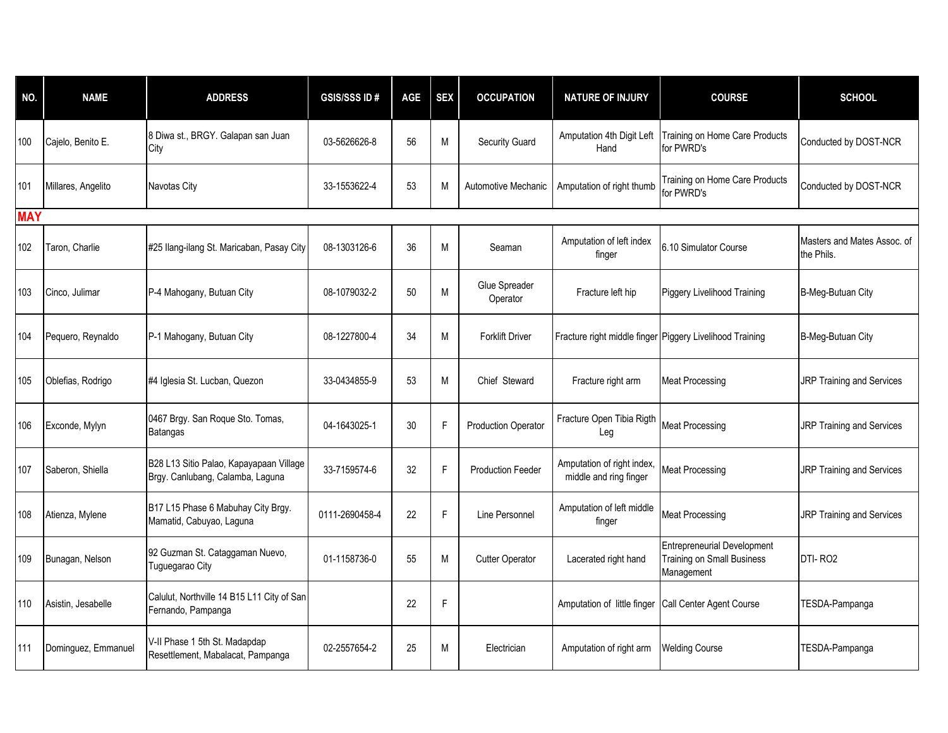| NO.        | <b>NAME</b>         | <b>ADDRESS</b>                                                              | <b>GSIS/SSS ID#</b> | <b>AGE</b> | <b>SEX</b> | <b>OCCUPATION</b>          | <b>NATURE OF INJURY</b>                                  | <b>COURSE</b>                                                                         | <b>SCHOOL</b>                             |
|------------|---------------------|-----------------------------------------------------------------------------|---------------------|------------|------------|----------------------------|----------------------------------------------------------|---------------------------------------------------------------------------------------|-------------------------------------------|
| 100        | Cajelo, Benito E.   | 8 Diwa st., BRGY. Galapan san Juan<br>City                                  | 03-5626626-8        | 56         | М          | Security Guard             | Amputation 4th Digit Left<br>Hand                        | Training on Home Care Products<br>for PWRD's                                          | Conducted by DOST-NCR                     |
| 101        | Millares, Angelito  | Navotas City                                                                | 33-1553622-4        | 53         | M          | Automotive Mechanic        | Amputation of right thumb                                | Training on Home Care Products<br>for PWRD's                                          | Conducted by DOST-NCR                     |
| <b>MAY</b> |                     |                                                                             |                     |            |            |                            |                                                          |                                                                                       |                                           |
| 102        | Taron, Charlie      | #25 Ilang-ilang St. Maricaban, Pasay City                                   | 08-1303126-6        | 36         | M          | Seaman                     | Amputation of left index<br>finger                       | 6.10 Simulator Course                                                                 | Masters and Mates Assoc. of<br>the Phils. |
| 103        | Cinco, Julimar      | P-4 Mahogany, Butuan City                                                   | 08-1079032-2        | 50         | M          | Glue Spreader<br>Operator  | Fracture left hip                                        | <b>Piggery Livelihood Training</b>                                                    | B-Meg-Butuan City                         |
| 104        | Pequero, Reynaldo   | P-1 Mahogany, Butuan City                                                   | 08-1227800-4        | 34         | М          | <b>Forklift Driver</b>     | Fracture right middle finger Piggery Livelihood Training |                                                                                       | B-Meg-Butuan City                         |
| 105        | Oblefias, Rodrigo   | #4 Iglesia St. Lucban, Quezon                                               | 33-0434855-9        | 53         | М          | Chief Steward              | Fracture right arm                                       | <b>Meat Processing</b>                                                                | JRP Training and Services                 |
| 106        | Exconde, Mylyn      | 0467 Brgy. San Roque Sto. Tomas,<br>Batangas                                | 04-1643025-1        | 30         | F          | <b>Production Operator</b> | Fracture Open Tibia Rigth<br>Leg                         | <b>Meat Processing</b>                                                                | JRP Training and Services                 |
| 107        | Saberon, Shiella    | B28 L13 Sitio Palao, Kapayapaan Village<br>Brgy. Canlubang, Calamba, Laguna | 33-7159574-6        | 32         | F          | <b>Production Feeder</b>   | Amputation of right index,<br>middle and ring finger     | Meat Processing                                                                       | JRP Training and Services                 |
| 108        | Atienza, Mylene     | B17 L15 Phase 6 Mabuhay City Brgy.<br>Mamatid, Cabuyao, Laguna              | 0111-2690458-4      | 22         | F          | Line Personnel             | Amputation of left middle<br>finger                      | <b>Meat Processing</b>                                                                | JRP Training and Services                 |
| 109        | Bunagan, Nelson     | 92 Guzman St. Cataggaman Nuevo,<br>Tuguegarao City                          | 01-1158736-0        | 55         | M          | <b>Cutter Operator</b>     | Lacerated right hand                                     | <b>Entrepreneurial Development</b><br><b>Training on Small Business</b><br>Management | DTI-RO <sub>2</sub>                       |
| 110        | Asistin, Jesabelle  | Calulut, Northville 14 B15 L11 City of San<br>Fernando, Pampanga            |                     | 22         | F          |                            | Amputation of little finger                              | Call Center Agent Course                                                              | TESDA-Pampanga                            |
| 111        | Dominguez, Emmanuel | V-II Phase 1 5th St. Madapdap<br>Resettlement, Mabalacat, Pampanga          | 02-2557654-2        | 25         | M          | Electrician                | Amputation of right arm                                  | <b>Welding Course</b>                                                                 | TESDA-Pampanga                            |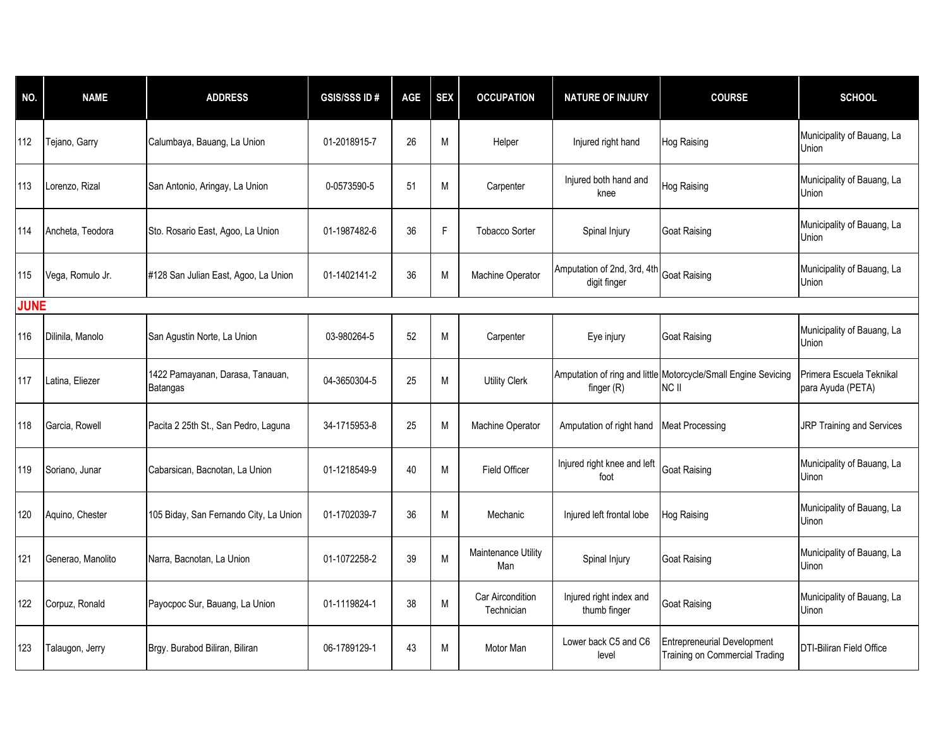| NO.         | <b>NAME</b>       | <b>ADDRESS</b>                               | <b>GSIS/SSS ID#</b> | AGE | <b>SEX</b> | <b>OCCUPATION</b>                     | <b>NATURE OF INJURY</b>                     | <b>COURSE</b>                                                           | <b>SCHOOL</b>                                 |
|-------------|-------------------|----------------------------------------------|---------------------|-----|------------|---------------------------------------|---------------------------------------------|-------------------------------------------------------------------------|-----------------------------------------------|
| 112         | Tejano, Garry     | Calumbaya, Bauang, La Union                  | 01-2018915-7        | 26  | M          | Helper                                | Injured right hand                          | <b>Hog Raising</b>                                                      | Municipality of Bauang, La<br>Union           |
| 113         | Lorenzo, Rizal    | San Antonio, Aringay, La Union               | 0-0573590-5         | 51  | М          | Carpenter                             | Injured both hand and<br>knee               | Hog Raising                                                             | Municipality of Bauang, La<br>Union           |
| 114         | Ancheta, Teodora  | Sto. Rosario East, Agoo, La Union            | 01-1987482-6        | 36  | F          | <b>Tobacco Sorter</b>                 | Spinal Injury                               | <b>Goat Raising</b>                                                     | Municipality of Bauang, La<br>Union           |
| 115         | Vega, Romulo Jr.  | #128 San Julian East, Agoo, La Union         | 01-1402141-2        | 36  | M          | Machine Operator                      | Amputation of 2nd, 3rd, 4th<br>digit finger | <b>Goat Raising</b>                                                     | Municipality of Bauang, La<br>Union           |
| <b>JUNE</b> |                   |                                              |                     |     |            |                                       |                                             |                                                                         |                                               |
| 116         | Dilinila, Manolo  | San Agustin Norte, La Union                  | 03-980264-5         | 52  | M          | Carpenter                             | Eye injury                                  | <b>Goat Raising</b>                                                     | Municipality of Bauang, La<br>Union           |
| 117         | Latina, Eliezer   | 1422 Pamayanan, Darasa, Tanauan,<br>Batangas | 04-3650304-5        | 25  | M          | <b>Utility Clerk</b>                  | finger (R)                                  | Amputation of ring and little Motorcycle/Small Engine Sevicing<br>NC II | Primera Escuela Teknikal<br>para Ayuda (PETA) |
| 118         | Garcia, Rowell    | Pacita 2 25th St., San Pedro, Laguna         | 34-1715953-8        | 25  | M          | Machine Operator                      | Amputation of right hand                    | Meat Processing                                                         | <b>JRP Training and Services</b>              |
| 119         | Soriano, Junar    | Cabarsican, Bacnotan, La Union               | 01-1218549-9        | 40  | M          | <b>Field Officer</b>                  | Injured right knee and left<br>foot         | <b>Goat Raising</b>                                                     | Municipality of Bauang, La<br><b>Uinon</b>    |
| 120         | Aquino, Chester   | 105 Biday, San Fernando City, La Union       | 01-1702039-7        | 36  | M          | Mechanic                              | Injured left frontal lobe                   | Hog Raising                                                             | Municipality of Bauang, La<br>Uinon           |
| 121         | Generao, Manolito | Narra, Bacnotan, La Union                    | 01-1072258-2        | 39  | M          | Maintenance Utility<br>Man            | Spinal Injury                               | <b>Goat Raising</b>                                                     | Municipality of Bauang, La<br>Uinon           |
| 122         | Corpuz, Ronald    | Payocpoc Sur, Bauang, La Union               | 01-1119824-1        | 38  | M          | <b>Car Aircondition</b><br>Technician | Injured right index and<br>thumb finger     | <b>Goat Raising</b>                                                     | Municipality of Bauang, La<br><b>Uinon</b>    |
| 123         | Talaugon, Jerry   | Brgy. Burabod Biliran, Biliran               | 06-1789129-1        | 43  | M          | Motor Man                             | Lower back C5 and C6<br>level               | <b>Entrepreneurial Development</b><br>Training on Commercial Trading    | <b>DTI-Biliran Field Office</b>               |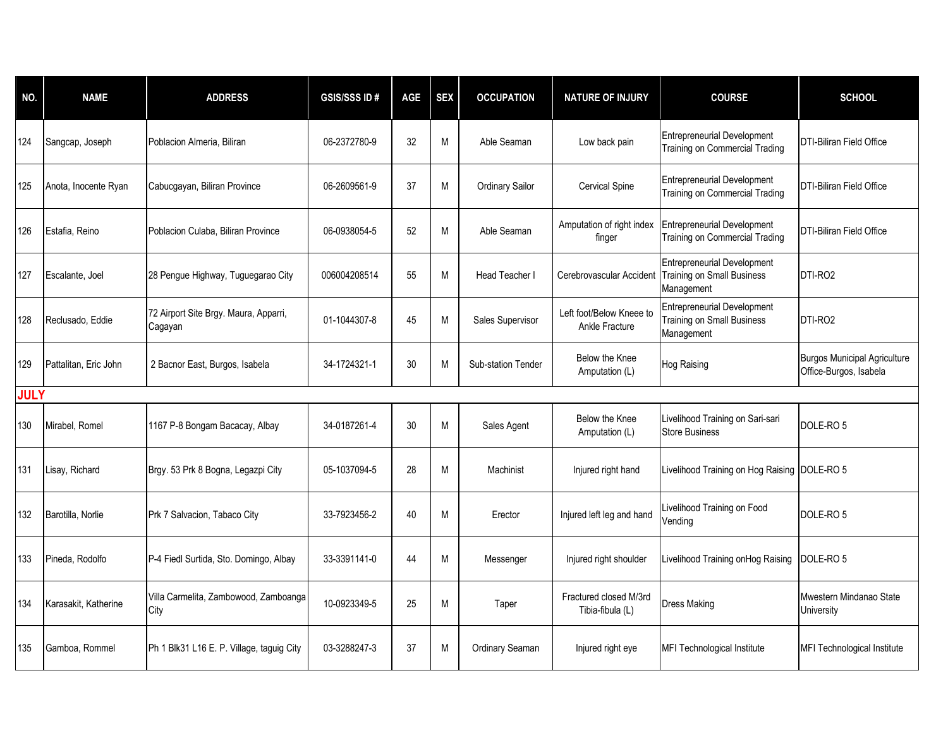| NO.         | <b>NAME</b>           | <b>ADDRESS</b>                                   | <b>GSIS/SSS ID#</b> | AGE | <b>SEX</b> | <b>OCCUPATION</b>      | <b>NATURE OF INJURY</b>                    | <b>COURSE</b>                                                                         | <b>SCHOOL</b>                                                 |
|-------------|-----------------------|--------------------------------------------------|---------------------|-----|------------|------------------------|--------------------------------------------|---------------------------------------------------------------------------------------|---------------------------------------------------------------|
| 124         | Sangcap, Joseph       | Poblacion Almeria, Biliran                       | 06-2372780-9        | 32  | M          | Able Seaman            | Low back pain                              | Entrepreneurial Development<br>Training on Commercial Trading                         | DTI-Biliran Field Office                                      |
| 125         | Anota, Inocente Ryan  | Cabucgayan, Biliran Province                     | 06-2609561-9        | 37  | M          | <b>Ordinary Sailor</b> | <b>Cervical Spine</b>                      | <b>Entrepreneurial Development</b><br>Training on Commercial Trading                  | <b>DTI-Biliran Field Office</b>                               |
| 126         | Estafia, Reino        | Poblacion Culaba, Biliran Province               | 06-0938054-5        | 52  | M          | Able Seaman            | Amputation of right index<br>finger        | <b>Entrepreneurial Development</b><br>Training on Commercial Trading                  | <b>DTI-Biliran Field Office</b>                               |
| 127         | Escalante, Joel       | 28 Pengue Highway, Tuguegarao City               | 006004208514        | 55  | M          | <b>Head Teacher I</b>  | Cerebrovascular Accident                   | <b>Entrepreneurial Development</b><br><b>Training on Small Business</b><br>Management | DTI-RO2                                                       |
| 128         | Reclusado, Eddie      | 72 Airport Site Brgy. Maura, Apparri,<br>Cagayan | 01-1044307-8        | 45  | M          | Sales Supervisor       | Left foot/Below Kneee to<br>Ankle Fracture | <b>Entrepreneurial Development</b><br>Training on Small Business<br>Management        | DTI-RO2                                                       |
| 129         | Pattalitan, Eric John | 2 Bacnor East, Burgos, Isabela                   | 34-1724321-1        | 30  | M          | Sub-station Tender     | Below the Knee<br>Amputation (L)           | <b>Hog Raising</b>                                                                    | <b>Burgos Municipal Agriculture</b><br>Office-Burgos, Isabela |
| <b>JULY</b> |                       |                                                  |                     |     |            |                        |                                            |                                                                                       |                                                               |
| 130         | Mirabel, Romel        | 1167 P-8 Bongam Bacacay, Albay                   | 34-0187261-4        | 30  | M          | Sales Agent            | Below the Knee<br>Amputation (L)           | Livelihood Training on Sari-sari<br><b>Store Business</b>                             | DOLE-RO <sub>5</sub>                                          |
| 131         | Lisay, Richard        | Brgy. 53 Prk 8 Bogna, Legazpi City               | 05-1037094-5        | 28  | M          | Machinist              | Injured right hand                         | Livelihood Training on Hog Raising   DOLE-RO 5                                        |                                                               |
| 132         | Barotilla, Norlie     | Prk 7 Salvacion, Tabaco City                     | 33-7923456-2        | 40  | М          | Erector                | Injured left leg and hand                  | Livelihood Training on Food<br>Vending                                                | DOLE-RO 5                                                     |
| 133         | Pineda, Rodolfo       | P-4 Fiedl Surtida, Sto. Domingo, Albay           | 33-3391141-0        | 44  | M          | Messenger              | Injured right shoulder                     | Livelihood Training onHog Raising                                                     | DOLE-RO <sub>5</sub>                                          |
| 134         | Karasakit, Katherine  | Villa Carmelita, Zambowood, Zamboanga<br>City    | 10-0923349-5        | 25  | M          | Taper                  | Fractured closed M/3rd<br>Tibia-fibula (L) | <b>Dress Making</b>                                                                   | Mwestern Mindanao State<br>University                         |
| 135         | Gamboa, Rommel        | Ph 1 Blk31 L16 E. P. Village, taguig City        | 03-3288247-3        | 37  | M          | Ordinary Seaman        | Injured right eye                          | MFI Technological Institute                                                           | MFI Technological Institute                                   |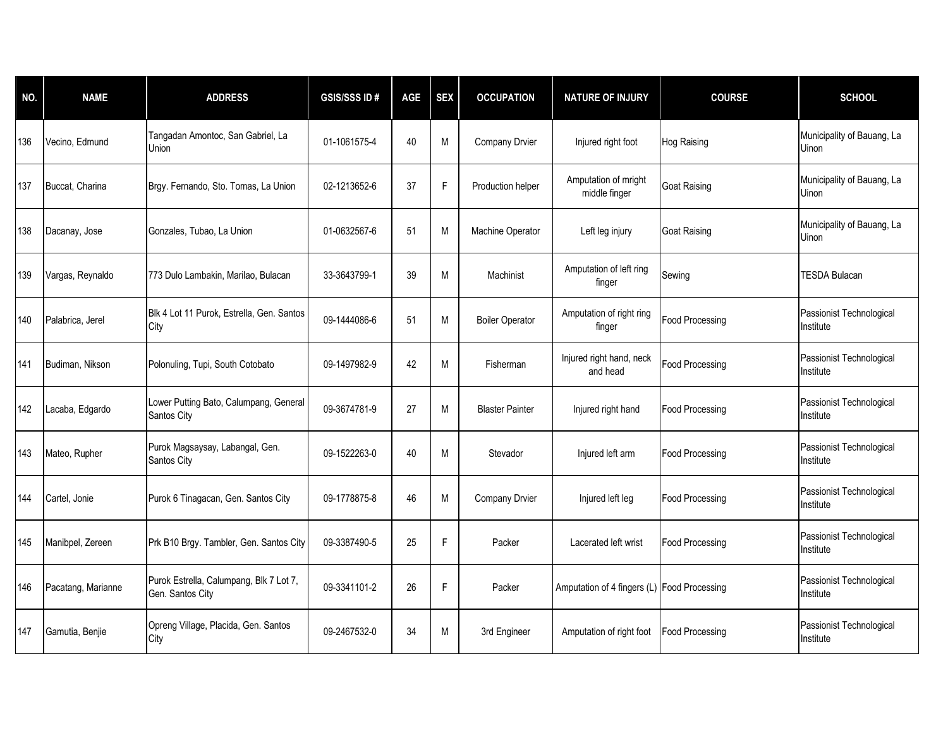| NO. | <b>NAME</b>        | <b>ADDRESS</b>                                              | <b>GSIS/SSS ID#</b> | AGE | <b>SEX</b> | <b>OCCUPATION</b>      | <b>NATURE OF INJURY</b>                     | <b>COURSE</b>          | <b>SCHOOL</b>                              |
|-----|--------------------|-------------------------------------------------------------|---------------------|-----|------------|------------------------|---------------------------------------------|------------------------|--------------------------------------------|
| 136 | Vecino, Edmund     | Tangadan Amontoc, San Gabriel, La<br>Union                  | 01-1061575-4        | 40  | M          | Company Drvier         | Injured right foot                          | <b>Hog Raising</b>     | Municipality of Bauang, La<br><b>Uinon</b> |
| 137 | Buccat, Charina    | Brgy. Fernando, Sto. Tomas, La Union                        | 02-1213652-6        | 37  | F          | Production helper      | Amputation of mright<br>middle finger       | <b>Goat Raising</b>    | Municipality of Bauang, La<br><b>Uinon</b> |
| 138 | Dacanay, Jose      | Gonzales, Tubao, La Union                                   | 01-0632567-6        | 51  | M          | Machine Operator       | Left leg injury                             | <b>Goat Raising</b>    | Municipality of Bauang, La<br><b>Uinon</b> |
| 139 | Vargas, Reynaldo   | 773 Dulo Lambakin, Marilao, Bulacan                         | 33-3643799-1        | 39  | M          | Machinist              | Amputation of left ring<br>finger           | Sewing                 | <b>TESDA Bulacan</b>                       |
| 140 | Palabrica, Jerel   | Blk 4 Lot 11 Purok, Estrella, Gen. Santos<br>City           | 09-1444086-6        | 51  | M          | <b>Boiler Operator</b> | Amputation of right ring<br>finger          | <b>Food Processing</b> | Passionist Technological<br>Institute      |
| 141 | Budiman, Nikson    | Polonuling, Tupi, South Cotobato                            | 09-1497982-9        | 42  | M          | Fisherman              | Injured right hand, neck<br>and head        | <b>Food Processing</b> | Passionist Technological<br>Institute      |
| 142 | Lacaba, Edgardo    | Lower Putting Bato, Calumpang, General<br>Santos City       | 09-3674781-9        | 27  | M          | <b>Blaster Painter</b> | Injured right hand                          | <b>Food Processing</b> | Passionist Technological<br>Institute      |
| 143 | Mateo, Rupher      | Purok Magsaysay, Labangal, Gen.<br>Santos City              | 09-1522263-0        | 40  | M          | Stevador               | Injured left arm                            | <b>Food Processing</b> | Passionist Technological<br>Institute      |
| 144 | Cartel, Jonie      | Purok 6 Tinagacan, Gen. Santos City                         | 09-1778875-8        | 46  | M          | Company Drvier         | Injured left leg                            | <b>Food Processing</b> | Passionist Technological<br>Institute      |
| 145 | Manibpel, Zereen   | Prk B10 Brgy. Tambler, Gen. Santos City                     | 09-3387490-5        | 25  | F          | Packer                 | Lacerated left wrist                        | <b>Food Processing</b> | Passionist Technological<br>Institute      |
| 146 | Pacatang, Marianne | Purok Estrella, Calumpang, Blk 7 Lot 7,<br>Gen. Santos City | 09-3341101-2        | 26  | F          | Packer                 | Amputation of 4 fingers (L) Food Processing |                        | Passionist Technological<br>Institute      |
| 147 | Gamutia, Benjie    | Opreng Village, Placida, Gen. Santos<br>City                | 09-2467532-0        | 34  | M          | 3rd Engineer           | Amputation of right foot                    | <b>Food Processing</b> | Passionist Technological<br>Institute      |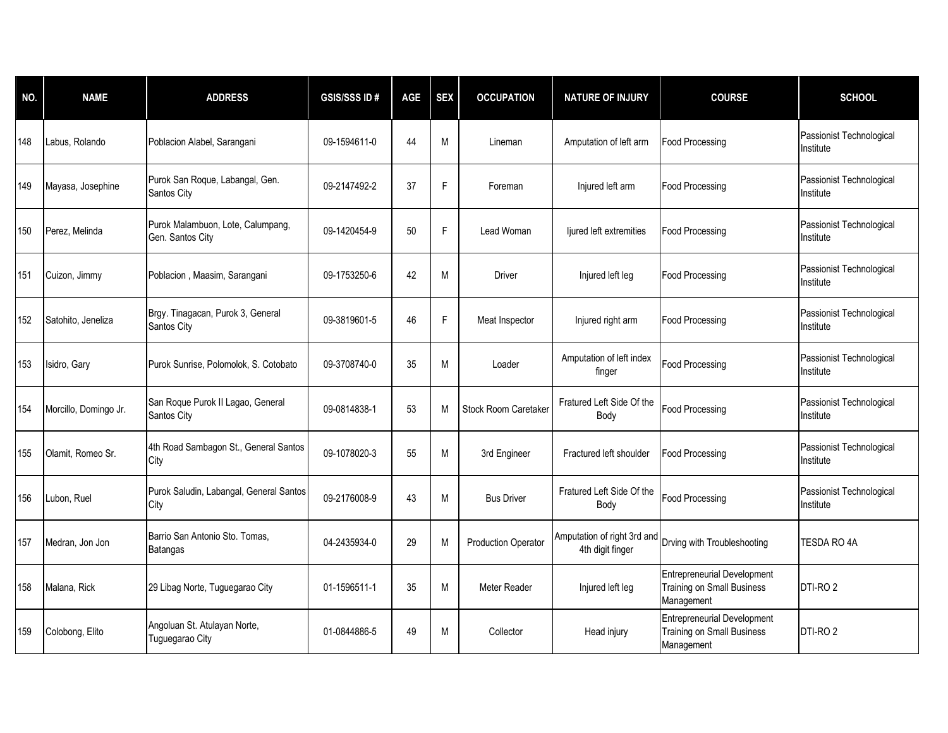| NO. | <b>NAME</b>           | <b>ADDRESS</b>                                        | <b>GSIS/SSSID#</b> | AGE | <b>SEX</b> | <b>OCCUPATION</b>          | <b>NATURE OF INJURY</b>                         | <b>COURSE</b>                                                                         | <b>SCHOOL</b>                         |
|-----|-----------------------|-------------------------------------------------------|--------------------|-----|------------|----------------------------|-------------------------------------------------|---------------------------------------------------------------------------------------|---------------------------------------|
| 148 | Labus, Rolando        | Poblacion Alabel, Sarangani                           | 09-1594611-0       | 44  | M          | Lineman                    | Amputation of left arm                          | Food Processing                                                                       | Passionist Technological<br>Institute |
| 149 | Mayasa, Josephine     | Purok San Roque, Labangal, Gen.<br>Santos City        | 09-2147492-2       | 37  | F          | Foreman                    | Injured left arm                                | <b>Food Processing</b>                                                                | Passionist Technological<br>Institute |
| 150 | Perez, Melinda        | Purok Malambuon, Lote, Calumpang,<br>Gen. Santos City | 09-1420454-9       | 50  | F          | Lead Woman                 | ljured left extremities                         | <b>Food Processing</b>                                                                | Passionist Technological<br>Institute |
| 151 | Cuizon, Jimmy         | Poblacion, Maasim, Sarangani                          | 09-1753250-6       | 42  | M          | Driver                     | Injured left leg                                | <b>Food Processing</b>                                                                | Passionist Technological<br>Institute |
| 152 | Satohito, Jeneliza    | Brgy. Tinagacan, Purok 3, General<br>Santos City      | 09-3819601-5       | 46  | F          | Meat Inspector             | Injured right arm                               | <b>Food Processing</b>                                                                | Passionist Technological<br>Institute |
| 153 | Isidro, Gary          | Purok Sunrise, Polomolok, S. Cotobato                 | 09-3708740-0       | 35  | M          | Loader                     | Amputation of left index<br>finger              | <b>Food Processing</b>                                                                | Passionist Technological<br>Institute |
| 154 | Morcillo, Domingo Jr. | San Roque Purok II Lagao, General<br>Santos City      | 09-0814838-1       | 53  | M          | Stock Room Caretaker       | Fratured Left Side Of the<br>Body               | <b>Food Processing</b>                                                                | Passionist Technological<br>Institute |
| 155 | Olamit, Romeo Sr.     | 4th Road Sambagon St., General Santos<br>City         | 09-1078020-3       | 55  | M          | 3rd Engineer               | Fractured left shoulder                         | <b>Food Processing</b>                                                                | Passionist Technological<br>Institute |
| 156 | Lubon, Ruel           | Purok Saludin, Labangal, General Santos<br>City       | 09-2176008-9       | 43  | M          | <b>Bus Driver</b>          | Fratured Left Side Of the<br>Body               | <b>Food Processing</b>                                                                | Passionist Technological<br>Institute |
| 157 | Medran, Jon Jon       | Barrio San Antonio Sto. Tomas.<br>Batangas            | 04-2435934-0       | 29  | M          | <b>Production Operator</b> | Amputation of right 3rd and<br>4th digit finger | Drving with Troubleshooting                                                           | TESDA RO 4A                           |
| 158 | Malana, Rick          | 29 Libag Norte, Tuguegarao City                       | 01-1596511-1       | 35  | M          | Meter Reader               | Injured left leg                                | <b>Entrepreneurial Development</b><br><b>Training on Small Business</b><br>Management | DTI-RO <sub>2</sub>                   |
| 159 | Colobong, Elito       | Angoluan St. Atulayan Norte,<br>Tuguegarao City       | 01-0844886-5       | 49  | M          | Collector                  | Head injury                                     | <b>Entrepreneurial Development</b><br>Training on Small Business<br>Management        | DTI-RO <sub>2</sub>                   |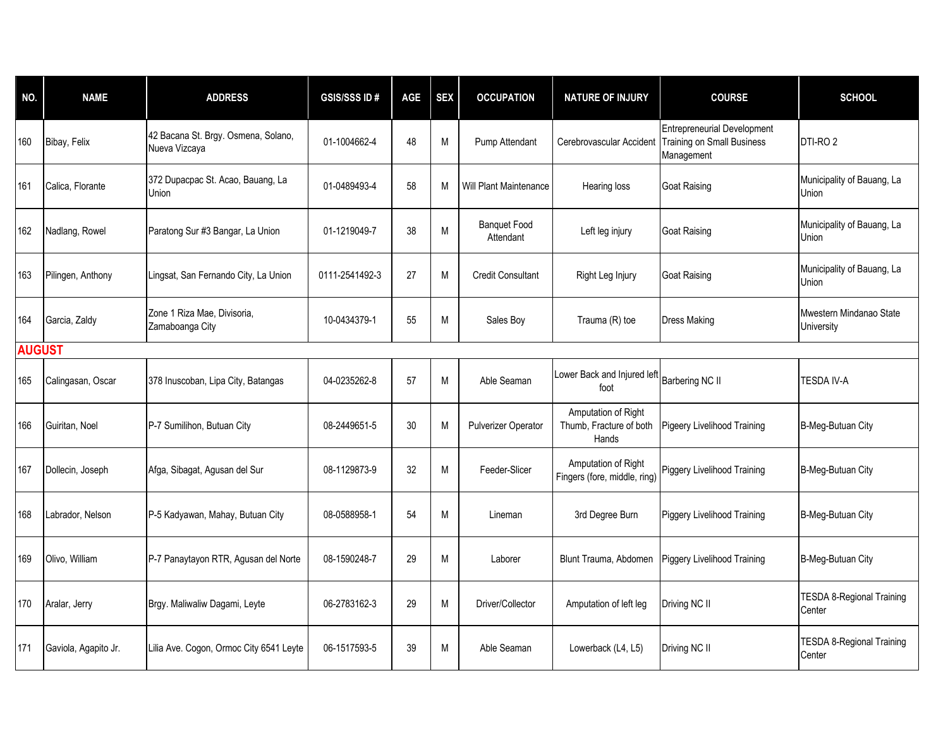| NO.           | <b>NAME</b>          | <b>ADDRESS</b>                                       | <b>GSIS/SSS ID#</b> | AGE | <b>SEX</b> | <b>OCCUPATION</b>                | <b>NATURE OF INJURY</b>                                 | <b>COURSE</b>                                                                         | <b>SCHOOL</b>                              |
|---------------|----------------------|------------------------------------------------------|---------------------|-----|------------|----------------------------------|---------------------------------------------------------|---------------------------------------------------------------------------------------|--------------------------------------------|
| 160           | Bibay, Felix         | 42 Bacana St. Brgy. Osmena, Solano,<br>Nueva Vizcaya | 01-1004662-4        | 48  | M          | Pump Attendant                   | Cerebrovascular Accident                                | <b>Entrepreneurial Development</b><br><b>Training on Small Business</b><br>Management | DTI-RO <sub>2</sub>                        |
| 161           | Calica, Florante     | 372 Dupacpac St. Acao, Bauang, La<br>Union           | 01-0489493-4        | 58  | M          | <b>Will Plant Maintenance</b>    | Hearing loss                                            | <b>Goat Raising</b>                                                                   | Municipality of Bauang, La<br>Union        |
| 162           | Nadlang, Rowel       | Paratong Sur #3 Bangar, La Union                     | 01-1219049-7        | 38  | M          | <b>Banquet Food</b><br>Attendant | Left leg injury                                         | <b>Goat Raising</b>                                                                   | Municipality of Bauang, La<br>Union        |
| 163           | Pilingen, Anthony    | Lingsat, San Fernando City, La Union                 | 0111-2541492-3      | 27  | M          | <b>Credit Consultant</b>         | Right Leg Injury                                        | <b>Goat Raising</b>                                                                   | Municipality of Bauang, La<br>Union        |
| 164           | Garcia, Zaldy        | Zone 1 Riza Mae, Divisoria,<br>Zamaboanga City       | 10-0434379-1        | 55  | M          | Sales Boy                        | Trauma (R) toe                                          | <b>Dress Making</b>                                                                   | Mwestern Mindanao State<br>University      |
| <b>AUGUST</b> |                      |                                                      |                     |     |            |                                  |                                                         |                                                                                       |                                            |
| 165           | Calingasan, Oscar    | 378 Inuscoban, Lipa City, Batangas                   | 04-0235262-8        | 57  | М          | Able Seaman                      | Lower Back and Injured left<br>foot                     | <b>Barbering NC II</b>                                                                | TESDA IV-A                                 |
| 166           | Guiritan, Noel       | P-7 Sumilihon, Butuan City                           | 08-2449651-5        | 30  | M          | <b>Pulverizer Operator</b>       | Amputation of Right<br>Thumb, Fracture of both<br>Hands | <b>Pigeery Livelihood Training</b>                                                    | B-Meg-Butuan City                          |
| 167           | Dollecin, Joseph     | Afga, Sibagat, Agusan del Sur                        | 08-1129873-9        | 32  | M          | Feeder-Slicer                    | Amputation of Right<br>Fingers (fore, middle, ring)     | Piggery Livelihood Training                                                           | B-Meg-Butuan City                          |
| 168           | Labrador, Nelson     | P-5 Kadyawan, Mahay, Butuan City                     | 08-0588958-1        | 54  | M          | Lineman                          | 3rd Degree Burn                                         | Piggery Livelihood Training                                                           | B-Meg-Butuan City                          |
| 169           | Olivo, William       | P-7 Panaytayon RTR, Agusan del Norte                 | 08-1590248-7        | 29  | M          | Laborer                          | Blunt Trauma, Abdomen                                   | Piggery Livelihood Training                                                           | B-Meg-Butuan City                          |
| 170           | Aralar, Jerry        | Brgy. Maliwaliw Dagami, Leyte                        | 06-2783162-3        | 29  | M          | Driver/Collector                 | Amputation of left leg                                  | Driving NC II                                                                         | <b>TESDA 8-Regional Training</b><br>Center |
| 171           | Gaviola, Agapito Jr. | Lilia Ave. Cogon, Ormoc City 6541 Leyte              | 06-1517593-5        | 39  | M          | Able Seaman                      | Lowerback (L4, L5)                                      | Driving NC II                                                                         | <b>TESDA 8-Regional Training</b><br>Center |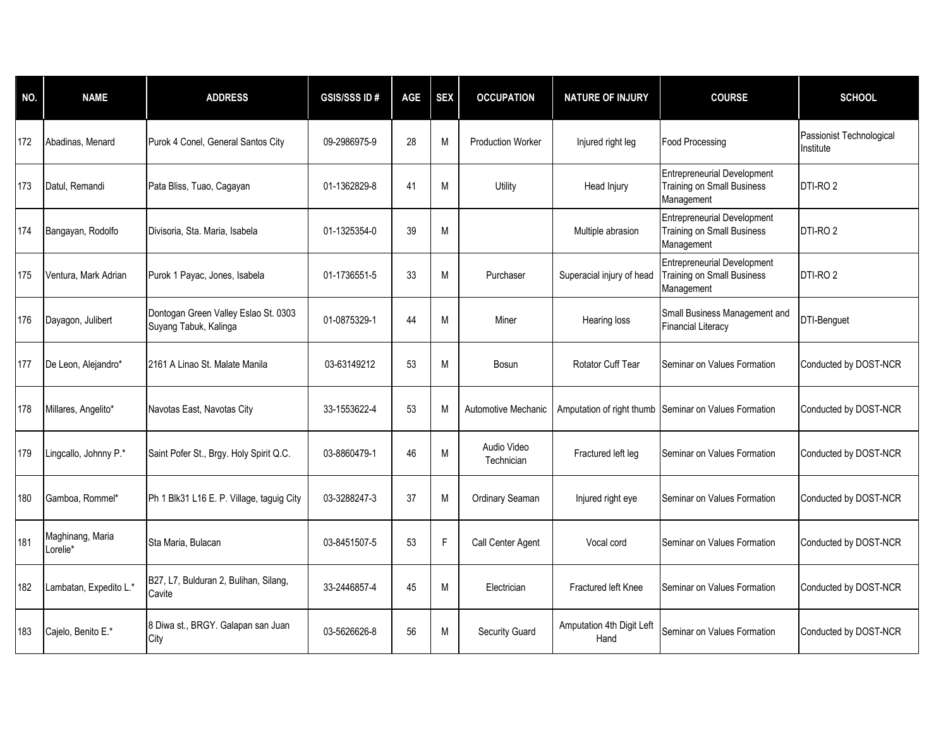| NO. | <b>NAME</b>                  | <b>ADDRESS</b>                                                | <b>GSIS/SSS ID#</b> | AGE | <b>SEX</b> | <b>OCCUPATION</b>         | <b>NATURE OF INJURY</b>           | <b>COURSE</b>                                                                         | <b>SCHOOL</b>                         |
|-----|------------------------------|---------------------------------------------------------------|---------------------|-----|------------|---------------------------|-----------------------------------|---------------------------------------------------------------------------------------|---------------------------------------|
| 172 | Abadinas, Menard             | Purok 4 Conel, General Santos City                            | 09-2986975-9        | 28  | M          | <b>Production Worker</b>  | Injured right leg                 | <b>Food Processing</b>                                                                | Passionist Technological<br>Institute |
| 173 | Datul, Remandi               | Pata Bliss, Tuao, Cagayan                                     | 01-1362829-8        | 41  | M          | Utility                   | Head Injury                       | <b>Entrepreneurial Development</b><br><b>Training on Small Business</b><br>Management | DTI-RO <sub>2</sub>                   |
| 174 | Bangayan, Rodolfo            | Divisoria, Sta. Maria, Isabela                                | 01-1325354-0        | 39  | M          |                           | Multiple abrasion                 | <b>Entrepreneurial Development</b><br><b>Training on Small Business</b><br>Management | DTI-RO <sub>2</sub>                   |
| 175 | Ventura, Mark Adrian         | Purok 1 Payac, Jones, Isabela                                 | 01-1736551-5        | 33  | М          | Purchaser                 | Superacial injury of head         | <b>Entrepreneurial Development</b><br><b>Training on Small Business</b><br>Management | DTI-RO <sub>2</sub>                   |
| 176 | Dayagon, Julibert            | Dontogan Green Valley Eslao St. 0303<br>Suyang Tabuk, Kalinga | 01-0875329-1        | 44  | M          | Miner                     | Hearing loss                      | Small Business Management and<br><b>Financial Literacy</b>                            | <b>DTI-Benguet</b>                    |
| 177 | De Leon, Alejandro*          | 2161 A Linao St. Malate Manila                                | 03-63149212         | 53  | M          | Bosun                     | Rotator Cuff Tear                 | Seminar on Values Formation                                                           | Conducted by DOST-NCR                 |
| 178 | Millares, Angelito*          | Navotas East, Navotas City                                    | 33-1553622-4        | 53  | M          | Automotive Mechanic       | Amputation of right thumb         | Seminar on Values Formation                                                           | Conducted by DOST-NCR                 |
| 179 | Lingcallo, Johnny P.*        | Saint Pofer St., Brgy. Holy Spirit Q.C.                       | 03-8860479-1        | 46  | М          | Audio Video<br>Technician | Fractured left leg                | Seminar on Values Formation                                                           | Conducted by DOST-NCR                 |
| 180 | Gamboa, Rommel*              | Ph 1 Blk31 L16 E. P. Village, taguig City                     | 03-3288247-3        | 37  | M          | Ordinary Seaman           | Injured right eye                 | Seminar on Values Formation                                                           | Conducted by DOST-NCR                 |
| 181 | Maghinang, Maria<br>Lorelie* | Sta Maria, Bulacan                                            | 03-8451507-5        | 53  | F          | Call Center Agent         | Vocal cord                        | Seminar on Values Formation                                                           | Conducted by DOST-NCR                 |
| 182 | Lambatan, Expedito L.*       | B27, L7, Bulduran 2, Bulihan, Silang,<br>Cavite               | 33-2446857-4        | 45  | М          | Electrician               | Fractured left Knee               | Seminar on Values Formation                                                           | Conducted by DOST-NCR                 |
| 183 | Cajelo, Benito E.*           | 8 Diwa st., BRGY. Galapan san Juan<br>City                    | 03-5626626-8        | 56  | M          | Security Guard            | Amputation 4th Digit Left<br>Hand | Seminar on Values Formation                                                           | Conducted by DOST-NCR                 |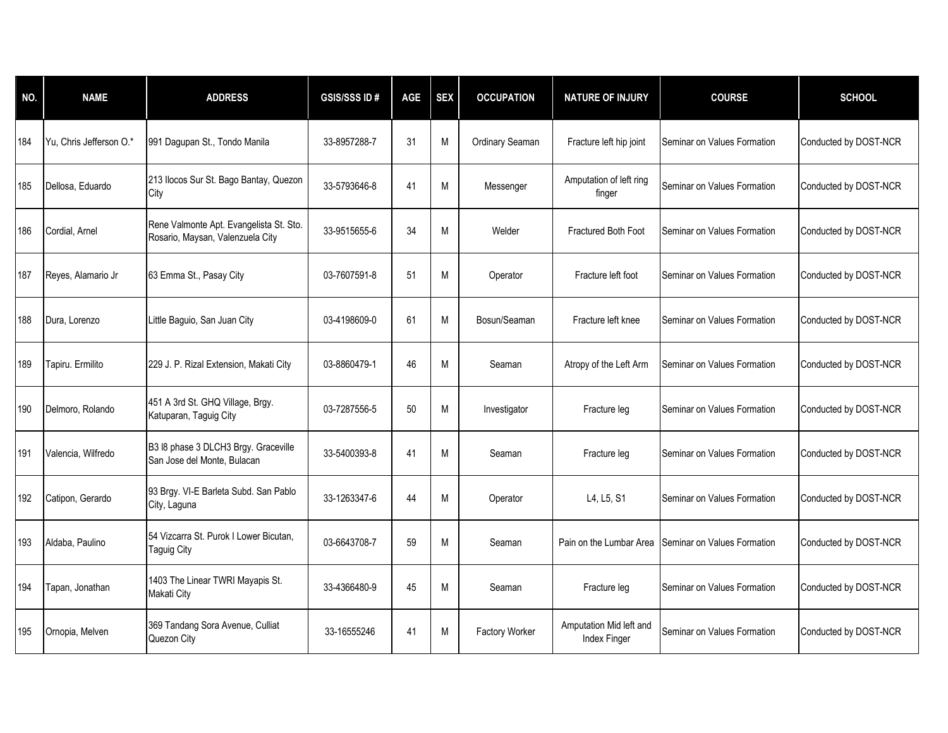| NO. | <b>NAME</b>             | <b>ADDRESS</b>                                                              | <b>GSIS/SSS ID#</b> | AGE | <b>SEX</b> | <b>OCCUPATION</b> | <b>NATURE OF INJURY</b>                 | <b>COURSE</b>               | <b>SCHOOL</b>         |
|-----|-------------------------|-----------------------------------------------------------------------------|---------------------|-----|------------|-------------------|-----------------------------------------|-----------------------------|-----------------------|
| 184 | Yu, Chris Jefferson O.* | 991 Dagupan St., Tondo Manila                                               | 33-8957288-7        | 31  | M          | Ordinary Seaman   | Fracture left hip joint                 | Seminar on Values Formation | Conducted by DOST-NCR |
| 185 | Dellosa, Eduardo        | 213 Ilocos Sur St. Bago Bantay, Quezon<br>City                              | 33-5793646-8        | 41  | M          | Messenger         | Amputation of left ring<br>finger       | Seminar on Values Formation | Conducted by DOST-NCR |
| 186 | Cordial, Arnel          | Rene Valmonte Apt. Evangelista St. Sto.<br>Rosario, Maysan, Valenzuela City | 33-9515655-6        | 34  | M          | Welder            | Fractured Both Foot                     | Seminar on Values Formation | Conducted by DOST-NCR |
| 187 | Reyes, Alamario Jr      | 63 Emma St., Pasay City                                                     | 03-7607591-8        | 51  | M          | Operator          | Fracture left foot                      | Seminar on Values Formation | Conducted by DOST-NCR |
| 188 | Dura, Lorenzo           | Little Baguio, San Juan City                                                | 03-4198609-0        | 61  | M          | Bosun/Seaman      | Fracture left knee                      | Seminar on Values Formation | Conducted by DOST-NCR |
| 189 | Tapiru. Ermilito        | 229 J. P. Rizal Extension, Makati City                                      | 03-8860479-1        | 46  | M          | Seaman            | Atropy of the Left Arm                  | Seminar on Values Formation | Conducted by DOST-NCR |
| 190 | Delmoro, Rolando        | 451 A 3rd St. GHQ Village, Brgy.<br>Katuparan, Taguig City                  | 03-7287556-5        | 50  | M          | Investigator      | Fracture leg                            | Seminar on Values Formation | Conducted by DOST-NCR |
| 191 | Valencia, Wilfredo      | B3 I8 phase 3 DLCH3 Brgy. Graceville<br>San Jose del Monte, Bulacan         | 33-5400393-8        | 41  | M          | Seaman            | Fracture leg                            | Seminar on Values Formation | Conducted by DOST-NCR |
| 192 | Catipon, Gerardo        | 93 Brgy. VI-E Barleta Subd. San Pablo<br>City, Laguna                       | 33-1263347-6        | 44  | M          | Operator          | L4, L5, S1                              | Seminar on Values Formation | Conducted by DOST-NCR |
| 193 | Aldaba, Paulino         | 54 Vizcarra St. Purok I Lower Bicutan,<br><b>Taguig City</b>                | 03-6643708-7        | 59  | M          | Seaman            | Pain on the Lumbar Area                 | Seminar on Values Formation | Conducted by DOST-NCR |
| 194 | Tapan, Jonathan         | 1403 The Linear TWRI Mayapis St.<br>Makati City                             | 33-4366480-9        | 45  | M          | Seaman            | Fracture leg                            | Seminar on Values Formation | Conducted by DOST-NCR |
| 195 | Ornopia, Melven         | 369 Tandang Sora Avenue, Culliat<br>Quezon City                             | 33-16555246         | 41  | M          | Factory Worker    | Amputation Mid left and<br>Index Finger | Seminar on Values Formation | Conducted by DOST-NCR |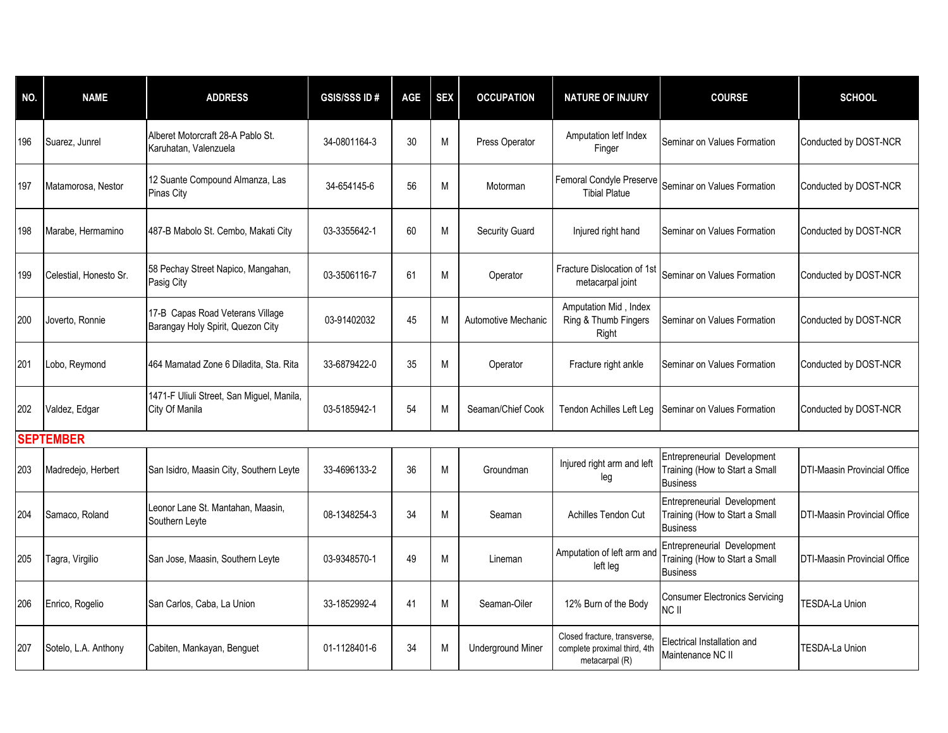| NO. | <b>NAME</b>            | <b>ADDRESS</b>                                                        | <b>GSIS/SSSID#</b> | AGE | <b>SEX</b> | <b>OCCUPATION</b>        | <b>NATURE OF INJURY</b>                                                        | <b>COURSE</b>                                                                    | <b>SCHOOL</b>                       |
|-----|------------------------|-----------------------------------------------------------------------|--------------------|-----|------------|--------------------------|--------------------------------------------------------------------------------|----------------------------------------------------------------------------------|-------------------------------------|
| 196 | Suarez, Junrel         | Alberet Motorcraft 28-A Pablo St.<br>Karuhatan, Valenzuela            | 34-0801164-3       | 30  | М          | Press Operator           | Amputation letf Index<br>Finger                                                | Seminar on Values Formation                                                      | Conducted by DOST-NCR               |
| 197 | Matamorosa, Nestor     | 12 Suante Compound Almanza, Las<br><b>Pinas City</b>                  | 34-654145-6        | 56  | M          | Motorman                 | Femoral Condyle Preserve<br><b>Tibial Platue</b>                               | Seminar on Values Formation                                                      | Conducted by DOST-NCR               |
| 198 | Marabe, Hermamino      | 487-B Mabolo St. Cembo, Makati City                                   | 03-3355642-1       | 60  | M          | <b>Security Guard</b>    | Injured right hand                                                             | Seminar on Values Formation                                                      | Conducted by DOST-NCR               |
| 199 | Celestial, Honesto Sr. | 58 Pechay Street Napico, Mangahan,<br>Pasig City                      | 03-3506116-7       | 61  | М          | Operator                 | Fracture Dislocation of 1st<br>metacarpal joint                                | Seminar on Values Formation                                                      | Conducted by DOST-NCR               |
| 200 | Joverto, Ronnie        | 17-B Capas Road Veterans Village<br>Barangay Holy Spirit, Quezon City | 03-91402032        | 45  | M          | Automotive Mechanic      | Amputation Mid, Index<br>Ring & Thumb Fingers<br>Right                         | Seminar on Values Formation                                                      | Conducted by DOST-NCR               |
| 201 | Lobo, Reymond          | 464 Mamatad Zone 6 Diladita, Sta. Rita                                | 33-6879422-0       | 35  | M          | Operator                 | Fracture right ankle                                                           | Seminar on Values Formation                                                      | Conducted by DOST-NCR               |
| 202 | Valdez, Edgar          | 1471-F Uliuli Street, San Miguel, Manila,<br>City Of Manila           | 03-5185942-1       | 54  | M          | Seaman/Chief Cook        | Tendon Achilles Left Leg                                                       | Seminar on Values Formation                                                      | Conducted by DOST-NCR               |
|     | <b>SEPTEMBER</b>       |                                                                       |                    |     |            |                          |                                                                                |                                                                                  |                                     |
| 203 | Madredejo, Herbert     | San Isidro, Maasin City, Southern Leyte                               | 33-4696133-2       | 36  | M          | Groundman                | Injured right arm and left<br>leg                                              | Entrepreneurial Development<br>Training (How to Start a Small<br><b>Business</b> | <b>DTI-Maasin Provincial Office</b> |
| 204 | Samaco, Roland         | Leonor Lane St. Mantahan, Maasin,<br>Southern Leyte                   | 08-1348254-3       | 34  | M          | Seaman                   | <b>Achilles Tendon Cut</b>                                                     | Entrepreneurial Development<br>Training (How to Start a Small<br><b>Business</b> | <b>DTI-Maasin Provincial Office</b> |
| 205 | Tagra, Virgilio        | San Jose, Maasin, Southern Leyte                                      | 03-9348570-1       | 49  | M          | Lineman                  | Amputation of left arm and<br>left leg                                         | Entrepreneurial Development<br>Training (How to Start a Small<br><b>Business</b> | <b>DTI-Maasin Provincial Office</b> |
| 206 | Enrico, Rogelio        | San Carlos, Caba, La Union                                            | 33-1852992-4       | 41  | М          | Seaman-Oiler             | 12% Burn of the Body                                                           | <b>Consumer Electronics Servicing</b><br>NC II                                   | TESDA-La Union                      |
| 207 | Sotelo, L.A. Anthony   | Cabiten, Mankayan, Benguet                                            | 01-1128401-6       | 34  | M          | <b>Underground Miner</b> | Closed fracture, transverse,<br>complete proximal third, 4th<br>metacarpal (R) | Electrical Installation and<br>Maintenance NC II                                 | TESDA-La Union                      |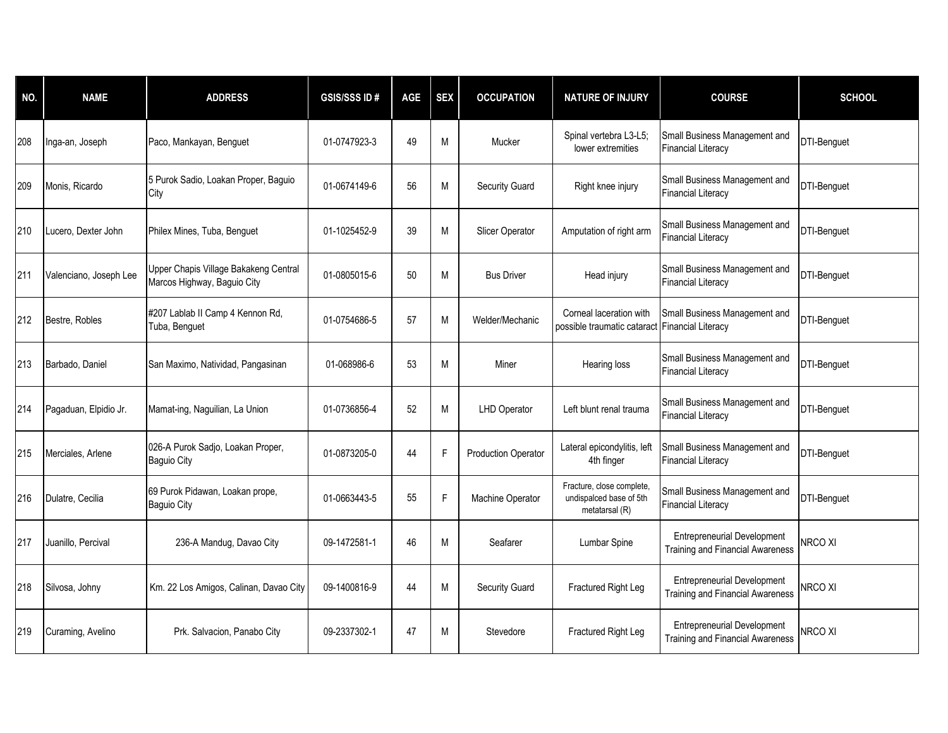| NO. | <b>NAME</b>            | <b>ADDRESS</b>                                                       | <b>GSIS/SSS ID#</b> | <b>AGE</b> | <b>SEX</b> | <b>OCCUPATION</b>          | <b>NATURE OF INJURY</b>                                                | <b>COURSE</b>                                                                 | <b>SCHOOL</b>      |
|-----|------------------------|----------------------------------------------------------------------|---------------------|------------|------------|----------------------------|------------------------------------------------------------------------|-------------------------------------------------------------------------------|--------------------|
| 208 | Inga-an, Joseph        | Paco, Mankayan, Benguet                                              | 01-0747923-3        | 49         | M          | Mucker                     | Spinal vertebra L3-L5;<br>lower extremities                            | Small Business Management and<br><b>Financial Literacy</b>                    | DTI-Benguet        |
| 209 | Monis, Ricardo         | 5 Purok Sadio, Loakan Proper, Baguio<br>City                         | 01-0674149-6        | 56         | M          | Security Guard             | Right knee injury                                                      | Small Business Management and<br><b>Financial Literacy</b>                    | DTI-Benguet        |
| 210 | Lucero, Dexter John    | Philex Mines, Tuba, Benguet                                          | 01-1025452-9        | 39         | M          | Slicer Operator            | Amputation of right arm                                                | Small Business Management and<br><b>Financial Literacy</b>                    | DTI-Benguet        |
| 211 | Valenciano, Joseph Lee | Upper Chapis Village Bakakeng Central<br>Marcos Highway, Baguio City | 01-0805015-6        | 50         | M          | <b>Bus Driver</b>          | Head injury                                                            | Small Business Management and<br><b>Financial Literacy</b>                    | DTI-Benguet        |
| 212 | Bestre, Robles         | #207 Lablab II Camp 4 Kennon Rd,<br>Tuba, Benguet                    | 01-0754686-5        | 57         | M          | Welder/Mechanic            | Corneal laceration with<br>possible traumatic cataract                 | Small Business Management and<br><b>Financial Literacy</b>                    | DTI-Benguet        |
| 213 | Barbado, Daniel        | San Maximo, Natividad, Pangasinan                                    | 01-068986-6         | 53         | M          | Miner                      | Hearing loss                                                           | Small Business Management and<br><b>Financial Literacy</b>                    | DTI-Benguet        |
| 214 | Pagaduan, Elpidio Jr.  | Mamat-ing, Naguilian, La Union                                       | 01-0736856-4        | 52         | M          | <b>LHD Operator</b>        | Left blunt renal trauma                                                | Small Business Management and<br>Financial Literacy                           | <b>DTI-Benguet</b> |
| 215 | Merciales, Arlene      | 026-A Purok Sadjo, Loakan Proper,<br><b>Baguio City</b>              | 01-0873205-0        | 44         | F          | <b>Production Operator</b> | Lateral epicondylitis, left<br>4th finger                              | Small Business Management and<br><b>Financial Literacy</b>                    | DTI-Benguet        |
| 216 | Dulatre, Cecilia       | 69 Purok Pidawan, Loakan prope,<br><b>Baguio City</b>                | 01-0663443-5        | 55         | F          | Machine Operator           | Fracture, close complete,<br>undispalced base of 5th<br>metatarsal (R) | Small Business Management and<br><b>Financial Literacy</b>                    | <b>DTI-Benguet</b> |
| 217 | Juanillo, Percival     | 236-A Mandug, Davao City                                             | 09-1472581-1        | 46         | M          | Seafarer                   | Lumbar Spine                                                           | <b>Entrepreneurial Development</b><br><b>Training and Financial Awareness</b> | NRCO XI            |
| 218 | Silvosa, Johny         | Km. 22 Los Amigos, Calinan, Davao City                               | 09-1400816-9        | 44         | M          | Security Guard             | Fractured Right Leg                                                    | <b>Entrepreneurial Development</b><br><b>Training and Financial Awareness</b> | NRCO XI            |
| 219 | Curaming, Avelino      | Prk. Salvacion, Panabo City                                          | 09-2337302-1        | 47         | M          | Stevedore                  | Fractured Right Leg                                                    | <b>Entrepreneurial Development</b><br><b>Training and Financial Awareness</b> | NRCO XI            |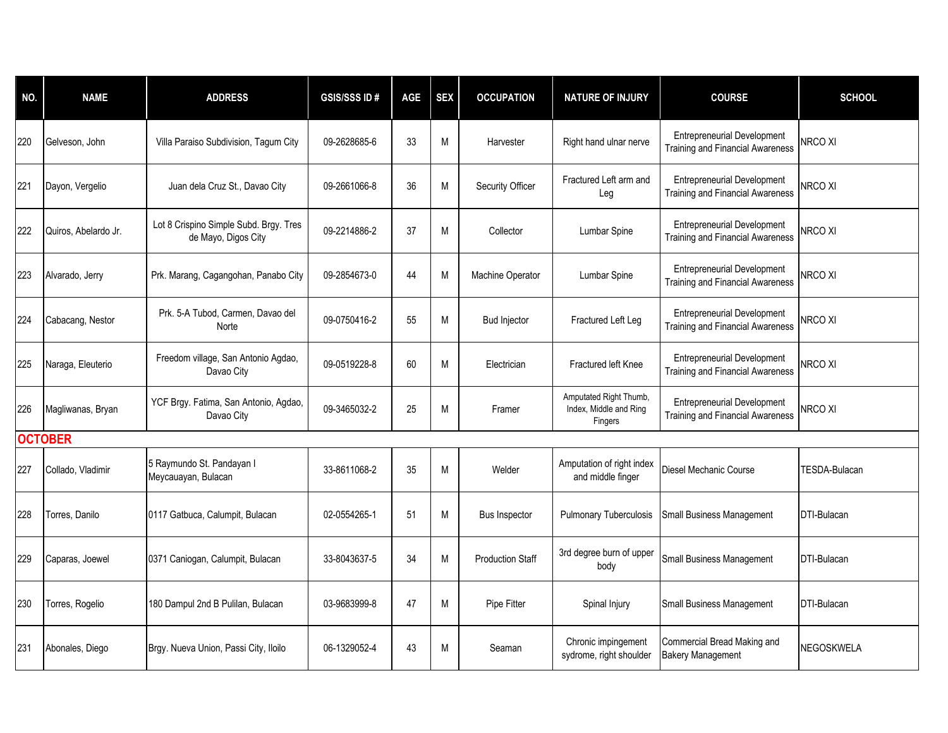| NO. | <b>NAME</b>          | <b>ADDRESS</b>                                                | <b>GSIS/SSS ID#</b> | <b>AGE</b> | <b>SEX</b> | <b>OCCUPATION</b>       | <b>NATURE OF INJURY</b>                                     | <b>COURSE</b>                                                                 | <b>SCHOOL</b>        |
|-----|----------------------|---------------------------------------------------------------|---------------------|------------|------------|-------------------------|-------------------------------------------------------------|-------------------------------------------------------------------------------|----------------------|
| 220 | Gelveson, John       | Villa Paraiso Subdivision, Tagum City                         | 09-2628685-6        | 33         | M          | Harvester               | Right hand ulnar nerve                                      | <b>Entrepreneurial Development</b><br><b>Training and Financial Awareness</b> | <b>NRCO XI</b>       |
| 221 | Dayon, Vergelio      | Juan dela Cruz St., Davao City                                | 09-2661066-8        | 36         | M          | Security Officer        | Fractured Left arm and<br>Leg                               | <b>Entrepreneurial Development</b><br><b>Training and Financial Awareness</b> | NRCO XI              |
| 222 | Quiros, Abelardo Jr. | Lot 8 Crispino Simple Subd. Brgy. Tres<br>de Mayo, Digos City | 09-2214886-2        | 37         | M          | Collector               | Lumbar Spine                                                | <b>Entrepreneurial Development</b><br><b>Training and Financial Awareness</b> | <b>NRCO XI</b>       |
| 223 | Alvarado, Jerry      | Prk. Marang, Cagangohan, Panabo City                          | 09-2854673-0        | 44         | M          | <b>Machine Operator</b> | Lumbar Spine                                                | <b>Entrepreneurial Development</b><br>Training and Financial Awareness        | <b>NRCO XI</b>       |
| 224 | Cabacang, Nestor     | Prk. 5-A Tubod, Carmen, Davao del<br>Norte                    | 09-0750416-2        | 55         | M          | <b>Bud Injector</b>     | Fractured Left Leg                                          | <b>Entrepreneurial Development</b><br><b>Training and Financial Awareness</b> | NRCO XI              |
| 225 | Naraga, Eleuterio    | Freedom village, San Antonio Agdao,<br>Davao City             | 09-0519228-8        | 60         | M          | Electrician             | Fractured left Knee                                         | <b>Entrepreneurial Development</b><br><b>Training and Financial Awareness</b> | <b>NRCO XI</b>       |
| 226 | Magliwanas, Bryan    | YCF Brgy. Fatima, San Antonio, Agdao,<br>Davao City           | 09-3465032-2        | 25         | M          | Framer                  | Amputated Right Thumb,<br>Index, Middle and Ring<br>Fingers | <b>Entrepreneurial Development</b><br>Training and Financial Awareness        | NRCO XI              |
|     | <b>OCTOBER</b>       |                                                               |                     |            |            |                         |                                                             |                                                                               |                      |
| 227 | Collado, Vladimir    | 5 Raymundo St. Pandayan I<br>Meycauayan, Bulacan              | 33-8611068-2        | 35         | M          | Welder                  | Amputation of right index<br>and middle finger              | Diesel Mechanic Course                                                        | <b>TESDA-Bulacan</b> |
| 228 | Torres, Danilo       | 0117 Gatbuca, Calumpit, Bulacan                               | 02-0554265-1        | 51         | M          | <b>Bus Inspector</b>    | <b>Pulmonary Tuberculosis</b>                               | <b>Small Business Management</b>                                              | DTI-Bulacan          |
| 229 | Caparas, Joewel      | 0371 Caniogan, Calumpit, Bulacan                              | 33-8043637-5        | 34         | M          | <b>Production Staff</b> | 3rd degree burn of upper<br>body                            | <b>Small Business Management</b>                                              | <b>DTI-Bulacan</b>   |
| 230 | Torres, Rogelio      | 180 Dampul 2nd B Pulilan, Bulacan                             | 03-9683999-8        | 47         | M          | Pipe Fitter             | Spinal Injury                                               | Small Business Management                                                     | <b>DTI-Bulacan</b>   |
| 231 | Abonales, Diego      | Brgy. Nueva Union, Passi City, Iloilo                         | 06-1329052-4        | 43         | M          | Seaman                  | Chronic impingement<br>sydrome, right shoulder              | Commercial Bread Making and<br><b>Bakery Management</b>                       | NEGOSKWELA           |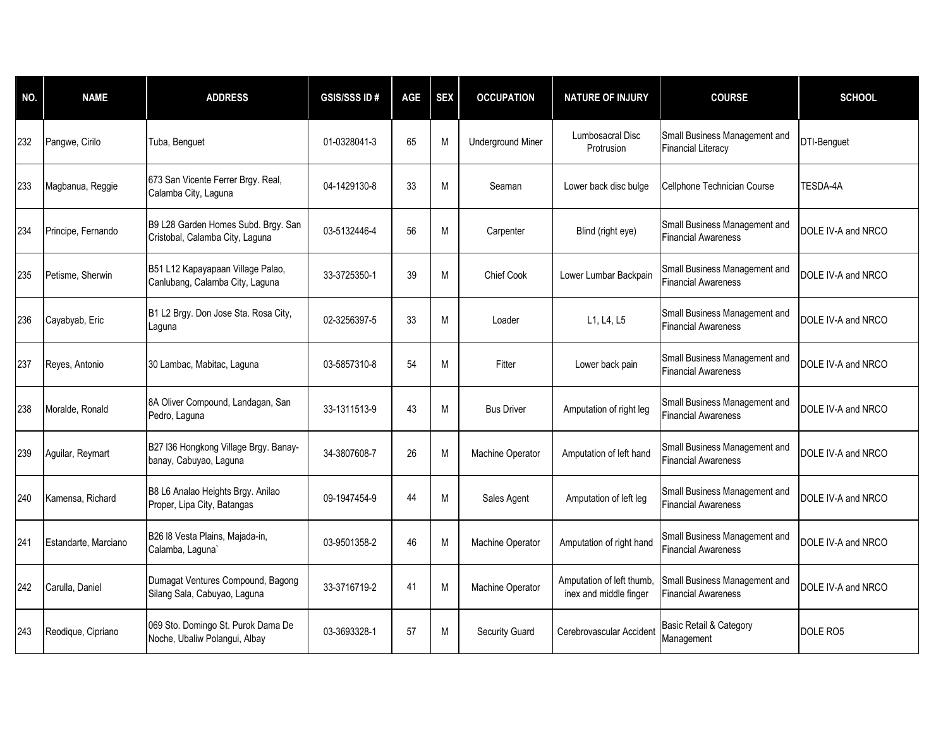| NO. | <b>NAME</b>          | <b>ADDRESS</b>                                                         | <b>GSIS/SSS ID#</b> | <b>AGE</b> | <b>SEX</b> | <b>OCCUPATION</b>        | <b>NATURE OF INJURY</b>                             | <b>COURSE</b>                                               | <b>SCHOOL</b>      |
|-----|----------------------|------------------------------------------------------------------------|---------------------|------------|------------|--------------------------|-----------------------------------------------------|-------------------------------------------------------------|--------------------|
| 232 | Pangwe, Cirilo       | Tuba, Benguet                                                          | 01-0328041-3        | 65         | M          | <b>Underground Miner</b> | Lumbosacral Disc<br>Protrusion                      | Small Business Management and<br><b>Financial Literacy</b>  | DTI-Benguet        |
| 233 | Magbanua, Reggie     | 673 San Vicente Ferrer Brgy. Real,<br>Calamba City, Laguna             | 04-1429130-8        | 33         | M          | Seaman                   | Lower back disc bulge                               | Cellphone Technician Course                                 | TESDA-4A           |
| 234 | Principe, Fernando   | B9 L28 Garden Homes Subd. Brgy. San<br>Cristobal, Calamba City, Laguna | 03-5132446-4        | 56         | M          | Carpenter                | Blind (right eye)                                   | Small Business Management and<br><b>Financial Awareness</b> | DOLE IV-A and NRCO |
| 235 | Petisme, Sherwin     | B51 L12 Kapayapaan Village Palao,<br>Canlubang, Calamba City, Laguna   | 33-3725350-1        | 39         | M          | <b>Chief Cook</b>        | Lower Lumbar Backpain                               | Small Business Management and<br><b>Financial Awareness</b> | DOLE IV-A and NRCO |
| 236 | Cayabyab, Eric       | B1 L2 Brgy. Don Jose Sta. Rosa City,<br>Laquna                         | 02-3256397-5        | 33         | M          | Loader                   | L1, L4, L5                                          | Small Business Management and<br><b>Financial Awareness</b> | DOLE IV-A and NRCO |
| 237 | Reyes, Antonio       | 30 Lambac, Mabitac, Laguna                                             | 03-5857310-8        | 54         | M          | Fitter                   | Lower back pain                                     | Small Business Management and<br><b>Financial Awareness</b> | DOLE IV-A and NRCO |
| 238 | Moralde, Ronald      | 8A Oliver Compound, Landagan, San<br>Pedro, Laguna                     | 33-1311513-9        | 43         | M          | <b>Bus Driver</b>        | Amputation of right leg                             | Small Business Management and<br><b>Financial Awareness</b> | DOLE IV-A and NRCO |
| 239 | Aguilar, Reymart     | B27 I36 Hongkong Village Brgy. Banay-<br>banay, Cabuyao, Laguna        | 34-3807608-7        | 26         | M          | Machine Operator         | Amputation of left hand                             | Small Business Management and<br><b>Financial Awareness</b> | DOLE IV-A and NRCO |
| 240 | Kamensa, Richard     | B8 L6 Analao Heights Brgy. Anilao<br>Proper, Lipa City, Batangas       | 09-1947454-9        | 44         | M          | Sales Agent              | Amputation of left leg                              | Small Business Management and<br><b>Financial Awareness</b> | DOLE IV-A and NRCO |
| 241 | Estandarte, Marciano | B26 I8 Vesta Plains, Majada-in,<br>Calamba, Laguna`                    | 03-9501358-2        | 46         | M          | Machine Operator         | Amputation of right hand                            | Small Business Management and<br><b>Financial Awareness</b> | DOLE IV-A and NRCO |
| 242 | Carulla, Daniel      | Dumagat Ventures Compound, Bagong<br>Silang Sala, Cabuyao, Laguna      | 33-3716719-2        | 41         | M          | Machine Operator         | Amputation of left thumb,<br>inex and middle finger | Small Business Management and<br><b>Financial Awareness</b> | DOLE IV-A and NRCO |
| 243 | Reodique, Cipriano   | 069 Sto. Domingo St. Purok Dama De<br>Noche, Ubaliw Polangui, Albay    | 03-3693328-1        | 57         | M          | Security Guard           | Cerebrovascular Accident                            | Basic Retail & Category<br>Management                       | DOLE RO5           |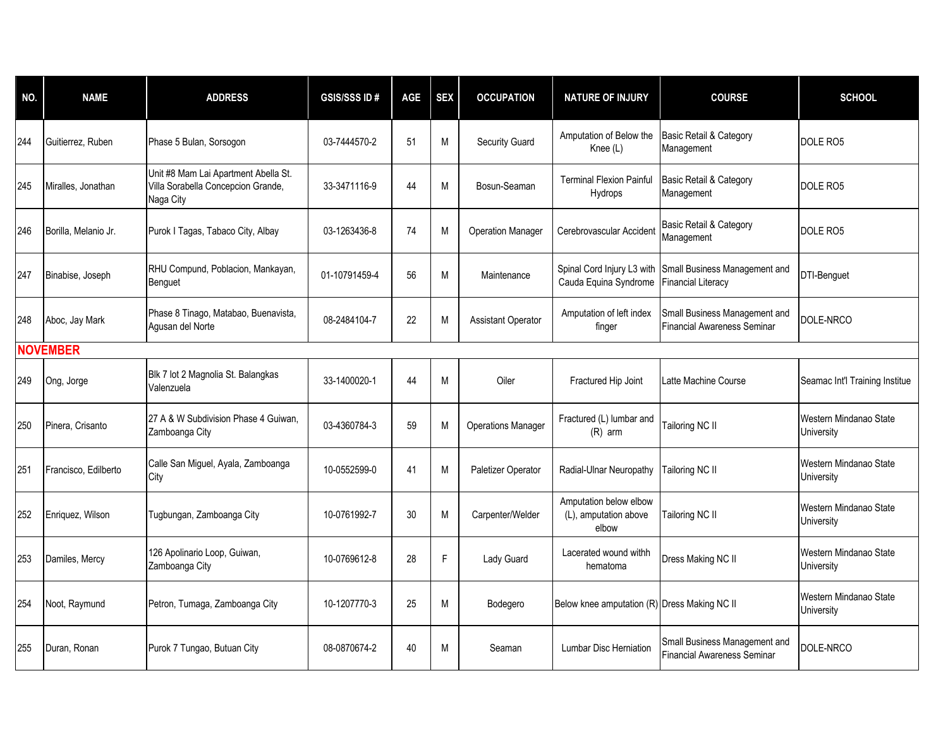| NO. | <b>NAME</b>          | <b>ADDRESS</b>                                                                          | <b>GSIS/SSS ID#</b> | <b>AGE</b> | <b>SEX</b> | <b>OCCUPATION</b>         | <b>NATURE OF INJURY</b>                                  | <b>COURSE</b>                                                       | <b>SCHOOL</b>                        |
|-----|----------------------|-----------------------------------------------------------------------------------------|---------------------|------------|------------|---------------------------|----------------------------------------------------------|---------------------------------------------------------------------|--------------------------------------|
| 244 | Guitierrez, Ruben    | Phase 5 Bulan, Sorsogon                                                                 | 03-7444570-2        | 51         | М          | Security Guard            | Amputation of Below the<br>Knee (L)                      | Basic Retail & Category<br>Management                               | DOLE RO5                             |
| 245 | Miralles, Jonathan   | Unit #8 Mam Lai Apartment Abella St.<br>Villa Sorabella Concepcion Grande,<br>Naga City | 33-3471116-9        | 44         | M          | Bosun-Seaman              | <b>Terminal Flexion Painful</b><br><b>Hydrops</b>        | Basic Retail & Category<br>Management                               | DOLE RO5                             |
| 246 | Borilla. Melanio Jr. | Purok I Tagas, Tabaco City, Albay                                                       | 03-1263436-8        | 74         | M          | <b>Operation Manager</b>  | Cerebrovascular Accident                                 | Basic Retail & Category<br>Management                               | DOLE RO5                             |
| 247 | Binabise, Joseph     | RHU Compund, Poblacion, Mankayan,<br>Benguet                                            | 01-10791459-4       | 56         | M          | Maintenance               | Spinal Cord Injury L3 with<br>Cauda Equina Syndrome      | Small Business Management and<br><b>Financial Literacy</b>          | <b>DTI-Benquet</b>                   |
| 248 | Aboc, Jay Mark       | Phase 8 Tinago, Matabao, Buenavista,<br>Agusan del Norte                                | 08-2484104-7        | 22         | M          | <b>Assistant Operator</b> | Amputation of left index<br>finger                       | Small Business Management and<br><b>Financial Awareness Seminar</b> | DOLE-NRCO                            |
|     | <b>NOVEMBER</b>      |                                                                                         |                     |            |            |                           |                                                          |                                                                     |                                      |
| 249 | Ong, Jorge           | Blk 7 lot 2 Magnolia St. Balangkas<br>Valenzuela                                        | 33-1400020-1        | 44         | M          | Oiler                     | Fractured Hip Joint                                      | Latte Machine Course                                                | Seamac Int'l Training Institue       |
| 250 | Pinera, Crisanto     | 27 A & W Subdivision Phase 4 Guiwan.<br>Zamboanga City                                  | 03-4360784-3        | 59         | M          | <b>Operations Manager</b> | Fractured (L) lumbar and<br>$(R)$ arm                    | Tailoring NC II                                                     | Western Mindanao State<br>University |
| 251 | Francisco, Edilberto | Calle San Miguel, Ayala, Zamboanga<br>City                                              | 10-0552599-0        | 41         | M          | Paletizer Operator        | Radial-Ulnar Neuropathy                                  | Tailoring NC II                                                     | Western Mindanao State<br>University |
| 252 | Enriquez, Wilson     | Tugbungan, Zamboanga City                                                               | 10-0761992-7        | 30         | M          | Carpenter/Welder          | Amputation below elbow<br>(L), amputation above<br>elbow | Tailoring NC II                                                     | Western Mindanao State<br>University |
| 253 | Damiles, Mercy       | 126 Apolinario Loop, Guiwan,<br>Zamboanga City                                          | 10-0769612-8        | 28         | F          | Lady Guard                | Lacerated wound withh<br>hematoma                        | Dress Making NC II                                                  | Western Mindanao State<br>University |
| 254 | Noot, Raymund        | Petron, Tumaga, Zamboanga City                                                          | 10-1207770-3        | 25         | M          | Bodegero                  | Below knee amputation (R) Dress Making NC II             |                                                                     | Western Mindanao State<br>University |
| 255 | Duran, Ronan         | Purok 7 Tungao, Butuan City                                                             | 08-0870674-2        | 40         | M          | Seaman                    | <b>Lumbar Disc Herniation</b>                            | Small Business Management and<br><b>Financial Awareness Seminar</b> | DOLE-NRCO                            |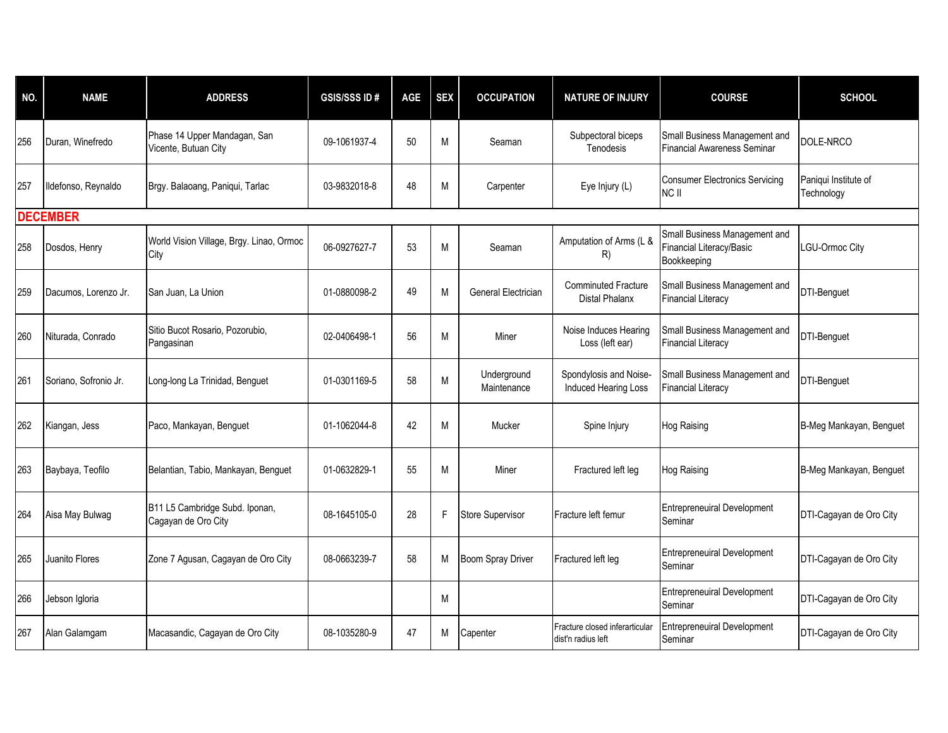| NO. | <b>NAME</b>           | <b>ADDRESS</b>                                        | <b>GSIS/SSS ID#</b> | AGE | <b>SEX</b> | <b>OCCUPATION</b>          | <b>NATURE OF INJURY</b>                              | <b>COURSE</b>                                                            | <b>SCHOOL</b>                      |
|-----|-----------------------|-------------------------------------------------------|---------------------|-----|------------|----------------------------|------------------------------------------------------|--------------------------------------------------------------------------|------------------------------------|
| 256 | Duran, Winefredo      | Phase 14 Upper Mandagan, San<br>Vicente, Butuan City  | 09-1061937-4        | 50  | M          | Seaman                     | Subpectoral biceps<br>Tenodesis                      | Small Business Management and<br><b>Financial Awareness Seminar</b>      | DOLE-NRCO                          |
| 257 | Ildefonso, Reynaldo   | Brgy. Balaoang, Paniqui, Tarlac                       | 03-9832018-8        | 48  | M          | Carpenter                  | Eye Injury (L)                                       | <b>Consumer Electronics Servicing</b><br>NC II                           | Paniqui Institute of<br>Technology |
|     | <b>DECEMBER</b>       |                                                       |                     |     |            |                            |                                                      |                                                                          |                                    |
| 258 | Dosdos, Henry         | World Vision Village, Brgy. Linao, Ormoc<br>City      | 06-0927627-7        | 53  | M          | Seaman                     | Amputation of Arms (L &<br>R)                        | Small Business Management and<br>Financial Literacy/Basic<br>Bookkeeping | LGU-Ormoc City                     |
| 259 | Dacumos, Lorenzo Jr.  | San Juan, La Union                                    | 01-0880098-2        | 49  | M          | General Electrician        | <b>Comminuted Fracture</b><br><b>Distal Phalanx</b>  | Small Business Management and<br><b>Financial Literacy</b>               | DTI-Benguet                        |
| 260 | Niturada, Conrado     | Sitio Bucot Rosario, Pozorubio,<br>Pangasinan         | 02-0406498-1        | 56  | M          | Miner                      | Noise Induces Hearing<br>Loss (left ear)             | Small Business Management and<br><b>Financial Literacy</b>               | DTI-Benguet                        |
| 261 | Soriano, Sofronio Jr. | Long-long La Trinidad, Benguet                        | 01-0301169-5        | 58  | M          | Underground<br>Maintenance | Spondylosis and Noise-<br>Induced Hearing Loss       | Small Business Management and<br><b>Financial Literacy</b>               | DTI-Benguet                        |
| 262 | Kiangan, Jess         | Paco, Mankayan, Benguet                               | 01-1062044-8        | 42  | M          | Mucker                     | Spine Injury                                         | <b>Hog Raising</b>                                                       | B-Meg Mankayan, Benguet            |
| 263 | Baybaya, Teofilo      | Belantian, Tabio, Mankayan, Benguet                   | 01-0632829-1        | 55  | M          | Miner                      | Fractured left leg                                   | <b>Hog Raising</b>                                                       | B-Meg Mankayan, Benguet            |
| 264 | Aisa May Bulwag       | B11 L5 Cambridge Subd. Iponan,<br>Cagayan de Oro City | 08-1645105-0        | 28  | F          | <b>Store Supervisor</b>    | Fracture left femur                                  | <b>Entrepreneuiral Development</b><br>Seminar                            | DTI-Cagayan de Oro City            |
| 265 | Juanito Flores        | Zone 7 Agusan, Cagayan de Oro City                    | 08-0663239-7        | 58  | M          | <b>Boom Spray Driver</b>   | Fractured left leg                                   | <b>Entrepreneuiral Development</b><br>Seminar                            | DTI-Cagayan de Oro City            |
| 266 | Jebson Igloria        |                                                       |                     |     | M          |                            |                                                      | <b>Entrepreneuiral Development</b><br>Seminar                            | DTI-Cagayan de Oro City            |
| 267 | Alan Galamgam         | Macasandic, Cagayan de Oro City                       | 08-1035280-9        | 47  | M          | Capenter                   | Fracture closed inferarticular<br>dist'n radius left | <b>Entrepreneuiral Development</b><br>Seminar                            | DTI-Cagayan de Oro City            |